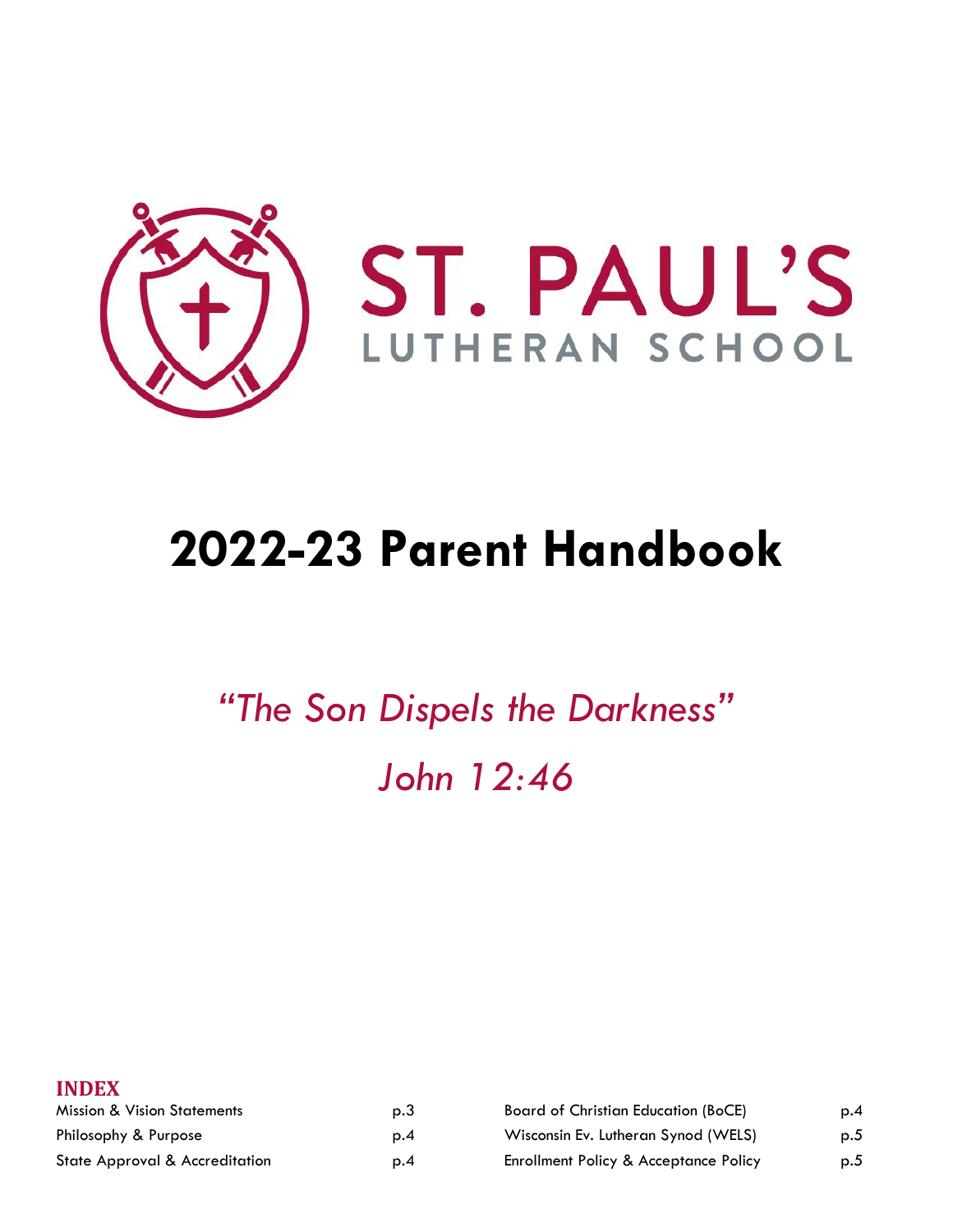

# **2022-23 Parent Handbook**

*"The Son Dispels the Darkness" John 12:46*

| p.3 | <b>Board of Christian Education (BoCE)</b>       | p.4 |
|-----|--------------------------------------------------|-----|
| p.4 | Wisconsin Ev. Lutheran Synod (WELS)              | p.5 |
| p.4 | <b>Enrollment Policy &amp; Acceptance Policy</b> | p.5 |
|     |                                                  |     |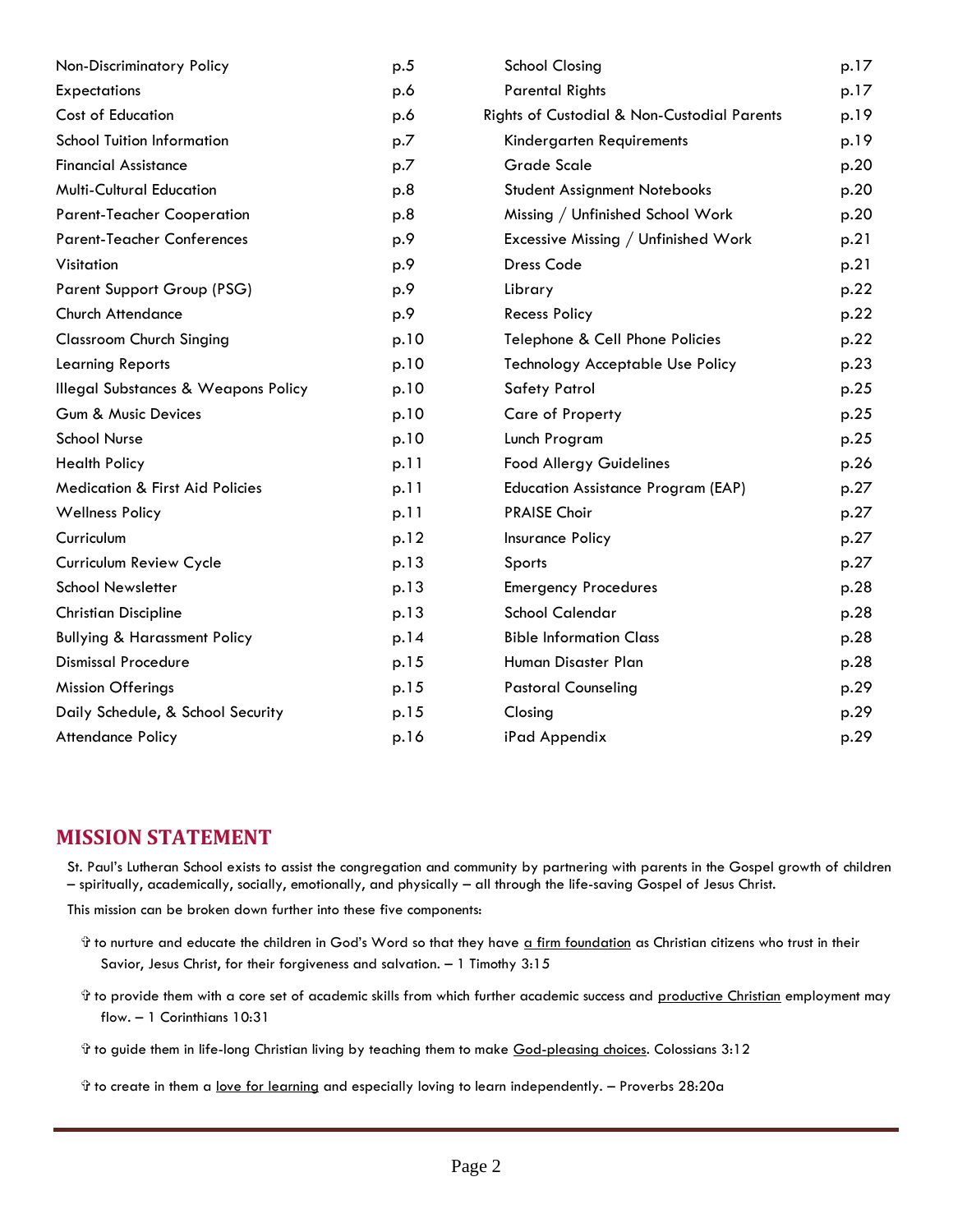| Non-Discriminatory Policy                      | p.5  | <b>School Closing</b>                       | p.17 |
|------------------------------------------------|------|---------------------------------------------|------|
| <b>Expectations</b>                            | p.6  | <b>Parental Rights</b>                      | p.17 |
| Cost of Education                              | p.6  | Rights of Custodial & Non-Custodial Parents | p.19 |
| <b>School Tuition Information</b>              | p.7  | Kindergarten Requirements                   | p.19 |
| <b>Financial Assistance</b>                    | p.7  | <b>Grade Scale</b>                          | p.20 |
| <b>Multi-Cultural Education</b>                | p.8  | <b>Student Assignment Notebooks</b>         | p.20 |
| <b>Parent-Teacher Cooperation</b>              | p.8  | Missing / Unfinished School Work            | p.20 |
| <b>Parent-Teacher Conferences</b>              | p.9  | Excessive Missing / Unfinished Work         | p.21 |
| Visitation                                     | p.9  | <b>Dress Code</b>                           | p.21 |
| Parent Support Group (PSG)                     | p.9  | Library                                     | p.22 |
| <b>Church Attendance</b>                       | p.9  | <b>Recess Policy</b>                        | p.22 |
| <b>Classroom Church Singing</b>                | p.10 | Telephone & Cell Phone Policies             | p.22 |
| <b>Learning Reports</b>                        | p.10 | <b>Technology Acceptable Use Policy</b>     | p.23 |
| <b>Illegal Substances &amp; Weapons Policy</b> | p.10 | <b>Safety Patrol</b>                        | p.25 |
| Gum & Music Devices                            | p.10 | Care of Property                            | p.25 |
| <b>School Nurse</b>                            | p.10 | Lunch Program                               | p.25 |
| <b>Health Policy</b>                           | p.11 | <b>Food Allergy Guidelines</b>              | p.26 |
| <b>Medication &amp; First Aid Policies</b>     | p.11 | <b>Education Assistance Program (EAP)</b>   | p.27 |
| <b>Wellness Policy</b>                         | p.11 | <b>PRAISE Choir</b>                         | p.27 |
| Curriculum                                     | p.12 | Insurance Policy                            | p.27 |
| Curriculum Review Cycle                        | p.13 | Sports                                      | p.27 |
| <b>School Newsletter</b>                       | p.13 | <b>Emergency Procedures</b>                 | p.28 |
| <b>Christian Discipline</b>                    | p.13 | <b>School Calendar</b>                      | p.28 |
| <b>Bullying &amp; Harassment Policy</b>        | p.14 | <b>Bible Information Class</b>              | p.28 |
| <b>Dismissal Procedure</b>                     | p.15 | Human Disaster Plan                         | p.28 |
| <b>Mission Offerings</b>                       | p.15 | <b>Pastoral Counseling</b>                  | p.29 |
| Daily Schedule, & School Security              | p.15 | Closing                                     | p.29 |
| <b>Attendance Policy</b>                       | p.16 | iPad Appendix                               | p.29 |

#### **MISSION STATEMENT**

St. Paul's Lutheran School exists to assist the congregation and community by partnering with parents in the Gospel growth of children – spiritually, academically, socially, emotionally, and physically – all through the life-saving Gospel of Jesus Christ.

This mission can be broken down further into these five components:

- the to nurture and educate the children in God's Word so that they have a firm foundation as Christian citizens who trust in their Savior, Jesus Christ, for their forgiveness and salvation. – 1 Timothy 3:15
- th to provide them with a core set of academic skills from which further academic success and productive Christian employment may flow. – 1 Corinthians 10:31
- the guide them in life-long Christian living by teaching them to make God-pleasing choices. Colossians 3:12
- ✞ to create in them a love for learning and especially loving to learn independently. Proverbs 28:20a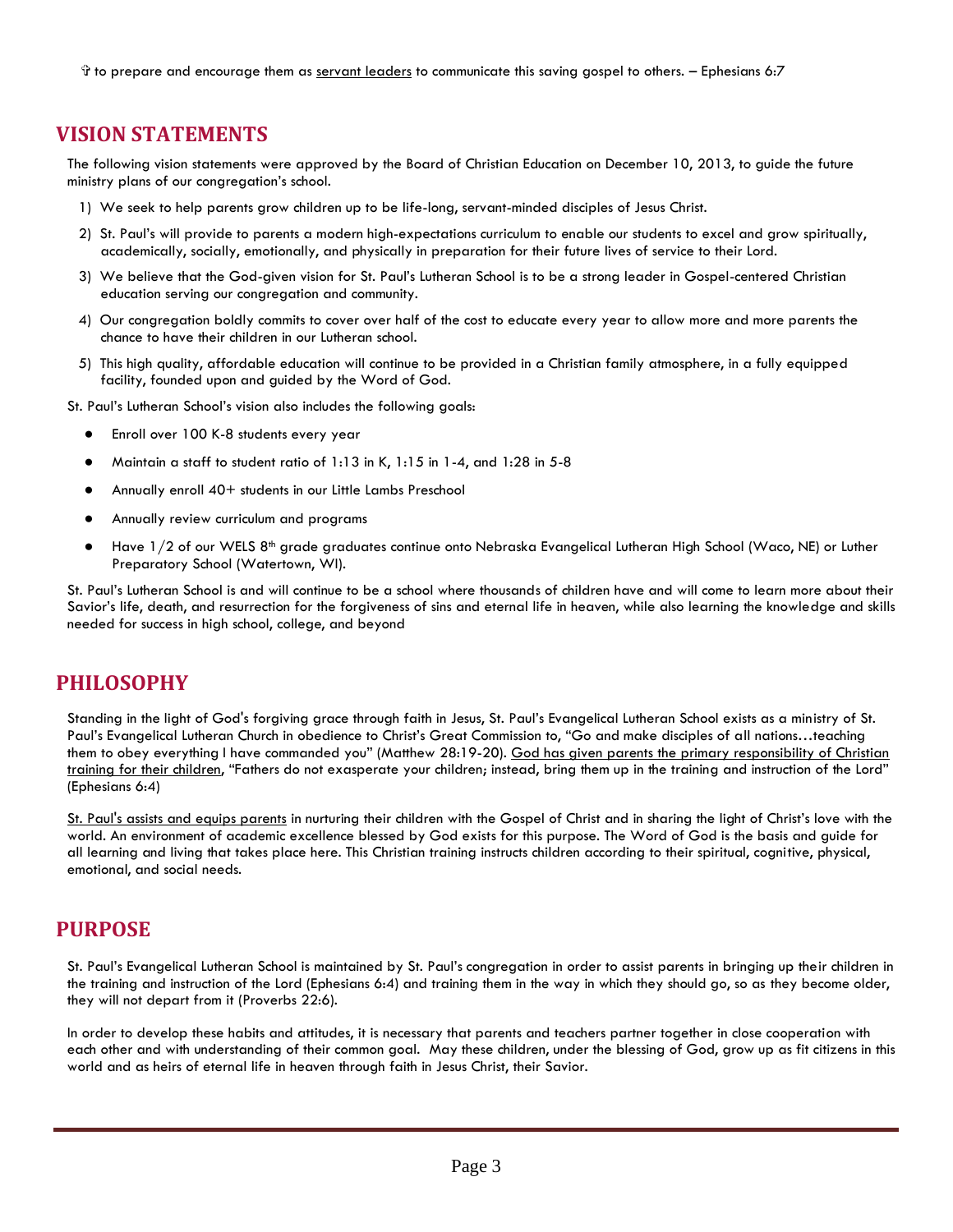✞ to prepare and encourage them as servant leaders to communicate this saving gospel to others. – Ephesians 6:7

#### **VISION STATEMENTS**

The following vision statements were approved by the Board of Christian Education on December 10, 2013, to guide the future ministry plans of our congregation's school.

- 1) We seek to help parents grow children up to be life-long, servant-minded disciples of Jesus Christ.
- 2) St. Paul's will provide to parents a modern high-expectations curriculum to enable our students to excel and grow spiritually, academically, socially, emotionally, and physically in preparation for their future lives of service to their Lord.
- 3) We believe that the God-given vision for St. Paul's Lutheran School is to be a strong leader in Gospel-centered Christian education serving our congregation and community.
- 4) Our congregation boldly commits to cover over half of the cost to educate every year to allow more and more parents the chance to have their children in our Lutheran school.
- 5) This high quality, affordable education will continue to be provided in a Christian family atmosphere, in a fully equipped facility, founded upon and guided by the Word of God.
- St. Paul's Lutheran School's vision also includes the following goals:
	- Enroll over 100 K-8 students every year
	- Maintain a staff to student ratio of 1:13 in K, 1:15 in 1-4, and 1:28 in 5-8
	- Annually enroll 40+ students in our Little Lambs Preschool
	- Annually review curriculum and programs
	- Have 1/2 of our WELS 8<sup>th</sup> grade graduates continue onto Nebraska Evangelical Lutheran High School (Waco, NE) or Luther Preparatory School (Watertown, WI).

St. Paul's Lutheran School is and will continue to be a school where thousands of children have and will come to learn more about their Savior's life, death, and resurrection for the forgiveness of sins and eternal life in heaven, while also learning the knowledge and skills needed for success in high school, college, and beyond

#### **PHILOSOPHY**

Standing in the light of God's forgiving grace through faith in Jesus, St. Paul's Evangelical Lutheran School exists as a ministry of St. Paul's Evangelical Lutheran Church in obedience to Christ's Great Commission to, "Go and make disciples of all nations…teaching them to obey everything I have commanded you" (Matthew 28:19-20)*.* God has given parents the primary responsibility of Christian training for their children, "Fathers do not exasperate your children; instead, bring them up in the training and instruction of the Lord" (Ephesians 6:4)

St. Paul's assists and equips parents in nurturing their children with the Gospel of Christ and in sharing the light of Christ's love with the world. An environment of academic excellence blessed by God exists for this purpose. The Word of God is the basis and guide for all learning and living that takes place here. This Christian training instructs children according to their spiritual, cognitive, physical, emotional, and social needs.

#### **PURPOSE**

St. Paul's Evangelical Lutheran School is maintained by St. Paul's congregation in order to assist parents in bringing up their children in the training and instruction of the Lord (Ephesians 6:4) and training them in the way in which they should go, so as they become older, they will not depart from it (Proverbs 22:6).

In order to develop these habits and attitudes, it is necessary that parents and teachers partner together in close cooperation with each other and with understanding of their common goal. May these children, under the blessing of God, grow up as fit citizens in this world and as heirs of eternal life in heaven through faith in Jesus Christ, their Savior.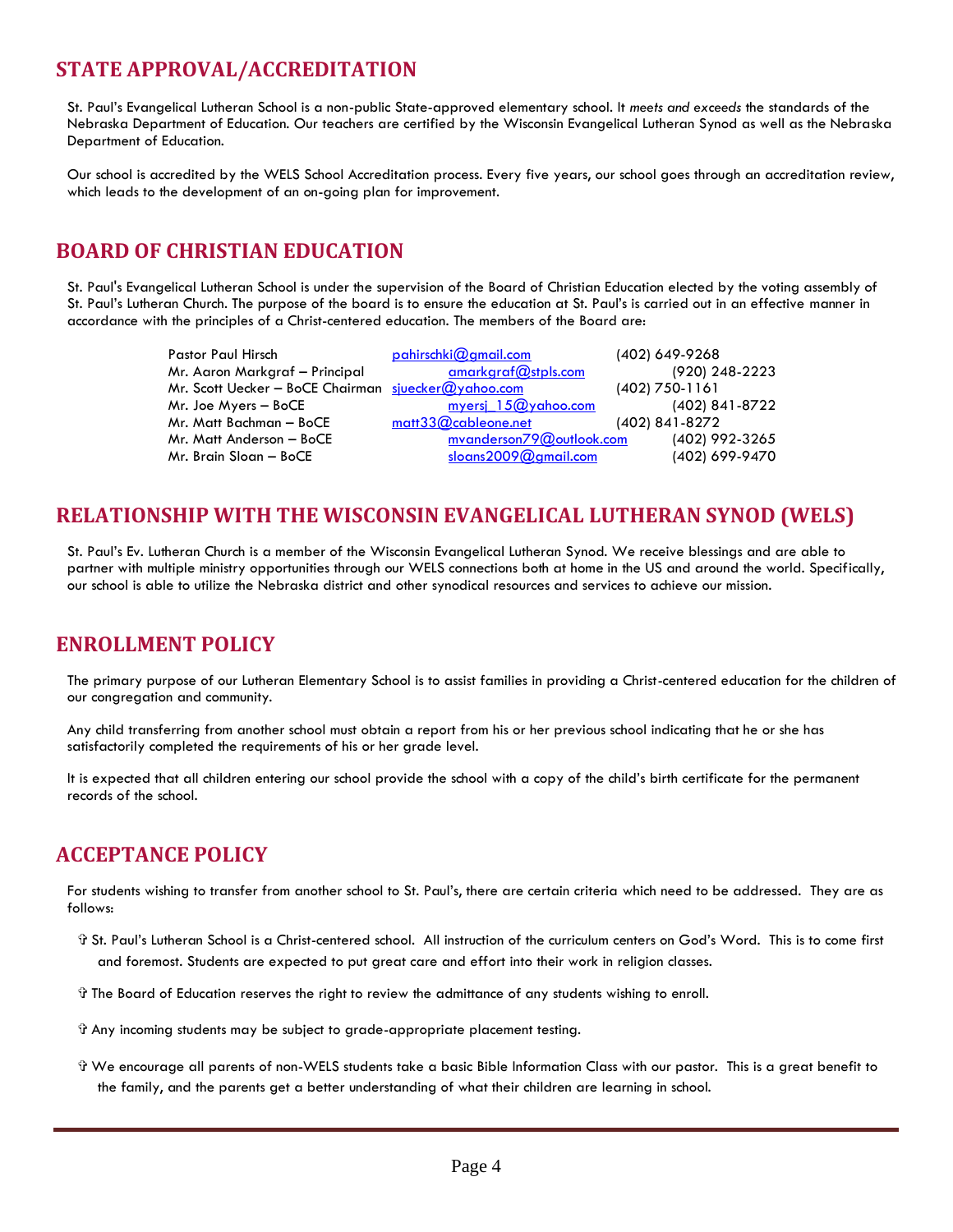# **STATE APPROVAL/ACCREDITATION**

St. Paul's Evangelical Lutheran School is a non-public State-approved elementary school. It *meets and exceeds* the standards of the Nebraska Department of Education. Our teachers are certified by the Wisconsin Evangelical Lutheran Synod as well as the Nebraska Department of Education.

Our school is accredited by the WELS School Accreditation process. Every five years, our school goes through an accreditation review, which leads to the development of an on-going plan for improvement.

# **BOARD OF CHRISTIAN EDUCATION**

St. Paul's Evangelical Lutheran School is under the supervision of the Board of Christian Education elected by the voting assembly of St. Paul's Lutheran Church. The purpose of the board is to ensure the education at St. Paul's is carried out in an effective manner in accordance with the principles of a Christ-centered education. The members of the Board are:

| <b>Pastor Paul Hirsch</b>                           | pahirschki@gmail.com       | (402) 649-9268   |
|-----------------------------------------------------|----------------------------|------------------|
| Mr. Aaron Markgraf - Principal                      | amarkaraf@stpls.com        | (920) 248-2223   |
| Mr. Scott Uecker - BoCE Chairman sjuecker@yahoo.com |                            | $(402)$ 750-1161 |
| Mr. Joe Myers - BoCE                                | myersi 15@yahoo.com        | (402) 841-8722   |
| Mr. Matt Bachman - BoCE                             | $m$ att $33@$ cableone.net | (402) 841-8272   |
| Mr. Matt Anderson - BoCE                            | myanderson79@outlook.com   | (402) 992-3265   |
| Mr. Brain Sloan - BoCE                              | sloans $2009@$ gmail.com   | (402) 699-9470   |

# **RELATIONSHIP WITH THE WISCONSIN EVANGELICAL LUTHERAN SYNOD (WELS)**

St. Paul's Ev. Lutheran Church is a member of the Wisconsin Evangelical Lutheran Synod. We receive blessings and are able to partner with multiple ministry opportunities through our WELS connections both at home in the US and around the world. Specifically, our school is able to utilize the Nebraska district and other synodical resources and services to achieve our mission.

## **ENROLLMENT POLICY**

The primary purpose of our Lutheran Elementary School is to assist families in providing a Christ-centered education for the children of our congregation and community.

Any child transferring from another school must obtain a report from his or her previous school indicating that he or she has satisfactorily completed the requirements of his or her grade level.

It is expected that all children entering our school provide the school with a copy of the child's birth certificate for the permanent records of the school.

## **ACCEPTANCE POLICY**

For students wishing to transfer from another school to St. Paul's, there are certain criteria which need to be addressed. They are as follows:

- ✞ St. Paul's Lutheran School is a Christ-centered school. All instruction of the curriculum centers on God's Word. This is to come first and foremost. Students are expected to put great care and effort into their work in religion classes.
- ✞ The Board of Education reserves the right to review the admittance of any students wishing to enroll.
- ✞ Any incoming students may be subject to grade-appropriate placement testing.
- ✞ We encourage all parents of non-WELS students take a basic Bible Information Class with our pastor. This is a great benefit to the family, and the parents get a better understanding of what their children are learning in school.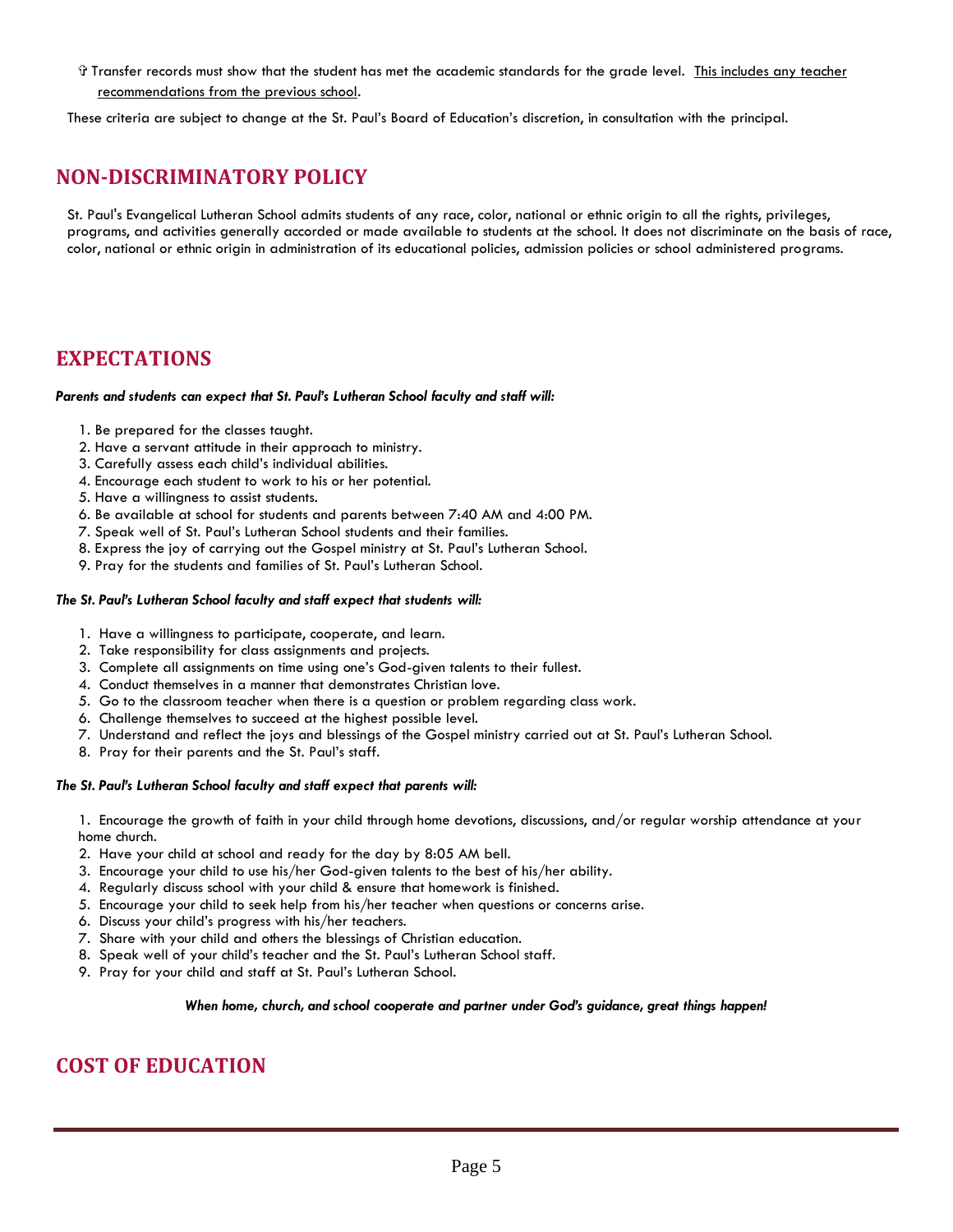✞ Transfer records must show that the student has met the academic standards for the grade level. This includes any teacher recommendations from the previous school.

These criteria are subject to change at the St. Paul's Board of Education's discretion, in consultation with the principal.

## **NON-DISCRIMINATORY POLICY**

St. Paul's Evangelical Lutheran School admits students of any race, color, national or ethnic origin to all the rights, privileges, programs, and activities generally accorded or made available to students at the school. It does not discriminate on the basis of race, color, national or ethnic origin in administration of its educational policies, admission policies or school administered programs.

#### **EXPECTATIONS**

#### *Parents and students can expect that St. Paul's Lutheran School faculty and staff will:*

- 1. Be prepared for the classes taught.
- 2. Have a servant attitude in their approach to ministry.
- 3. Carefully assess each child's individual abilities.
- 4. Encourage each student to work to his or her potential.
- 5. Have a willingness to assist students.
- 6. Be available at school for students and parents between 7:40 AM and 4:00 PM.
- 7. Speak well of St. Paul's Lutheran School students and their families.
- 8. Express the joy of carrying out the Gospel ministry at St. Paul's Lutheran School.
- 9. Pray for the students and families of St. Paul's Lutheran School.

#### *The St. Paul's Lutheran School faculty and staff expect that students will:*

- 1. Have a willingness to participate, cooperate, and learn.
- 2. Take responsibility for class assignments and projects.
- 3. Complete all assignments on time using one's God-given talents to their fullest.
- 4. Conduct themselves in a manner that demonstrates Christian love.
- 5. Go to the classroom teacher when there is a question or problem regarding class work.
- 6. Challenge themselves to succeed at the highest possible level.
- 7. Understand and reflect the joys and blessings of the Gospel ministry carried out at St. Paul's Lutheran School.
- 8. Pray for their parents and the St. Paul's staff.

#### *The St. Paul's Lutheran School faculty and staff expect that parents will:*

1. Encourage the growth of faith in your child through home devotions, discussions, and/or regular worship attendance at your home church.

- 2. Have your child at school and ready for the day by 8:05 AM bell.
- 3. Encourage your child to use his/her God-given talents to the best of his/her ability.
- 4. Regularly discuss school with your child & ensure that homework is finished.
- 5. Encourage your child to seek help from his/her teacher when questions or concerns arise.
- 6. Discuss your child's progress with his/her teachers.
- 7. Share with your child and others the blessings of Christian education.
- 8. Speak well of your child's teacher and the St. Paul's Lutheran School staff.
- 9. Pray for your child and staff at St. Paul's Lutheran School.

#### *When home, church, and school cooperate and partner under God's guidance, great things happen!*

## **COST OF EDUCATION**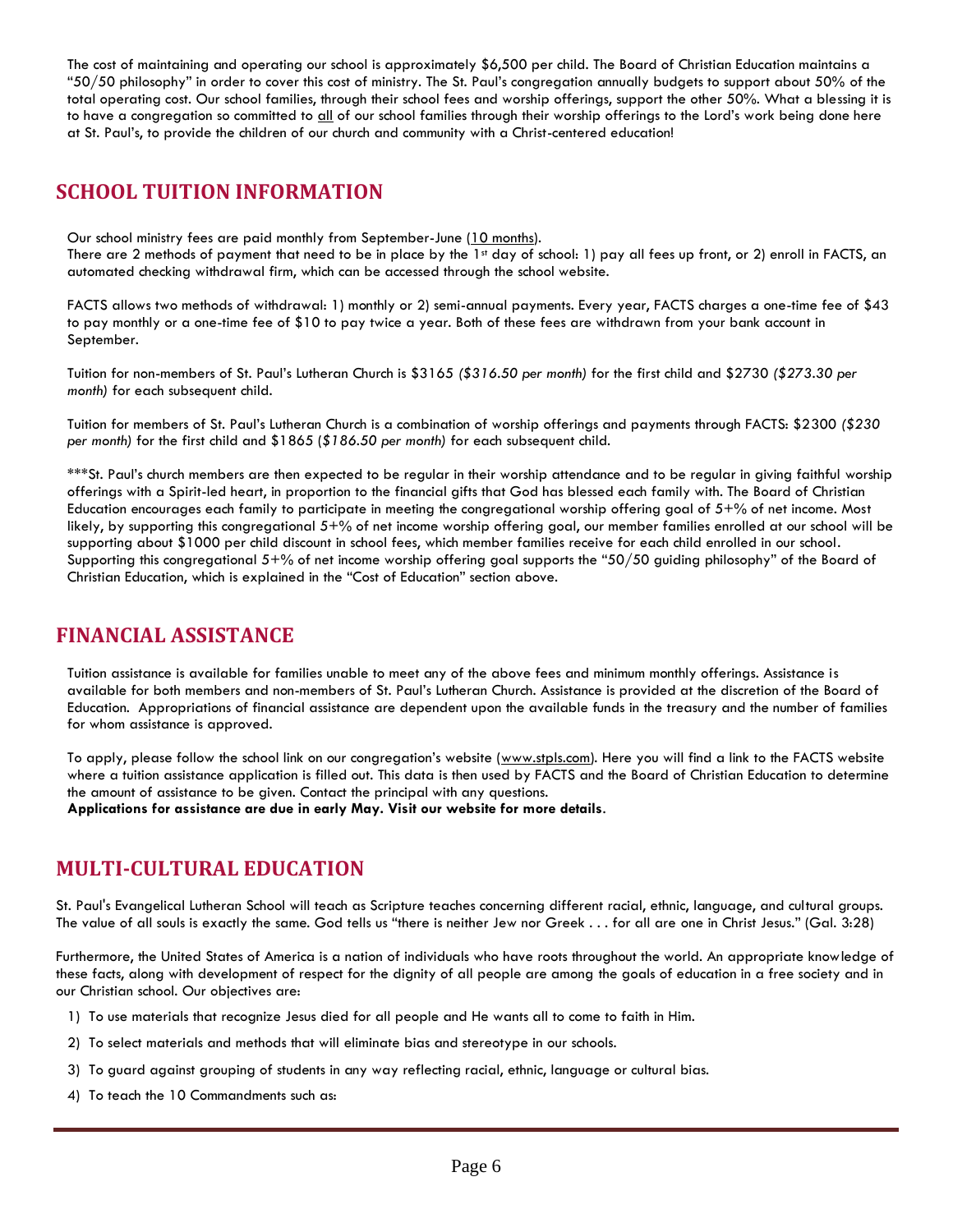The cost of maintaining and operating our school is approximately \$6,500 per child. The Board of Christian Education maintains a "50/50 philosophy" in order to cover this cost of ministry. The St. Paul's congregation annually budgets to support about 50% of the total operating cost. Our school families, through their school fees and worship offerings, support the other 50%. What a blessing it is to have a congregation so committed to all of our school families through their worship offerings to the Lord's work being done here at St. Paul's, to provide the children of our church and community with a Christ-centered education!

### **SCHOOL TUITION INFORMATION**

Our school ministry fees are paid monthly from September-June (10 months).

There are 2 methods of payment that need to be in place by the  $1$ <sup>st</sup> day of school: 1) pay all fees up front, or 2) enroll in FACTS, an automated checking withdrawal firm, which can be accessed through the school website.

FACTS allows two methods of withdrawal: 1) monthly or 2) semi-annual payments. Every year, FACTS charges a one-time fee of \$43 to pay monthly or a one-time fee of \$10 to pay twice a year. Both of these fees are withdrawn from your bank account in September.

Tuition for non-members of St. Paul's Lutheran Church is \$3165 *(\$316.50 per month)* for the first child and \$2730 *(\$273.30 per month)* for each subsequent child.

Tuition for members of St. Paul's Lutheran Church is a combination of worship offerings and payments through FACTS: \$2300 *(\$230 per month)* for the first child and \$1865 (*\$186.50 per month)* for each subsequent child.

\*\*\*St. Paul's church members are then expected to be regular in their worship attendance and to be regular in giving faithful worship offerings with a Spirit-led heart, in proportion to the financial gifts that God has blessed each family with. The Board of Christian Education encourages each family to participate in meeting the congregational worship offering goal of  $5^{+}\%$  of net income. Most likely, by supporting this congregational 5+% of net income worship offering goal, our member families enrolled at our school will be supporting about \$1000 per child discount in school fees, which member families receive for each child enrolled in our school. Supporting this congregational 5+% of net income worship offering goal supports the "50/50 guiding philosophy" of the Board of Christian Education, which is explained in the "Cost of Education" section above.

## **FINANCIAL ASSISTANCE**

Tuition assistance is available for families unable to meet any of the above fees and minimum monthly offerings. Assistance is available for both members and non-members of St. Paul's Lutheran Church. Assistance is provided at the discretion of the Board of Education. Appropriations of financial assistance are dependent upon the available funds in the treasury and the number of families for whom assistance is approved.

To apply, please follow the school link on our congregation's website ([www.stpls.com\)](http://www.stpls.com/). Here you will find a link to the FACTS website where a tuition assistance application is filled out. This data is then used by FACTS and the Board of Christian Education to determine the amount of assistance to be given. Contact the principal with any questions.

**Applications for assistance are due in early May. Visit our website for more details**.

## **MULTI-CULTURAL EDUCATION**

St. Paul's Evangelical Lutheran School will teach as Scripture teaches concerning different racial, ethnic, language, and cultural groups. The value of all souls is exactly the same. God tells us "there is neither Jew nor Greek . . . for all are one in Christ Jesus." (Gal. 3:28)

Furthermore, the United States of America is a nation of individuals who have roots throughout the world. An appropriate knowledge of these facts, along with development of respect for the dignity of all people are among the goals of education in a free society and in our Christian school. Our objectives are:

- 1) To use materials that recognize Jesus died for all people and He wants all to come to faith in Him.
- 2) To select materials and methods that will eliminate bias and stereotype in our schools.
- 3) To guard against grouping of students in any way reflecting racial, ethnic, language or cultural bias.
- 4) To teach the 10 Commandments such as: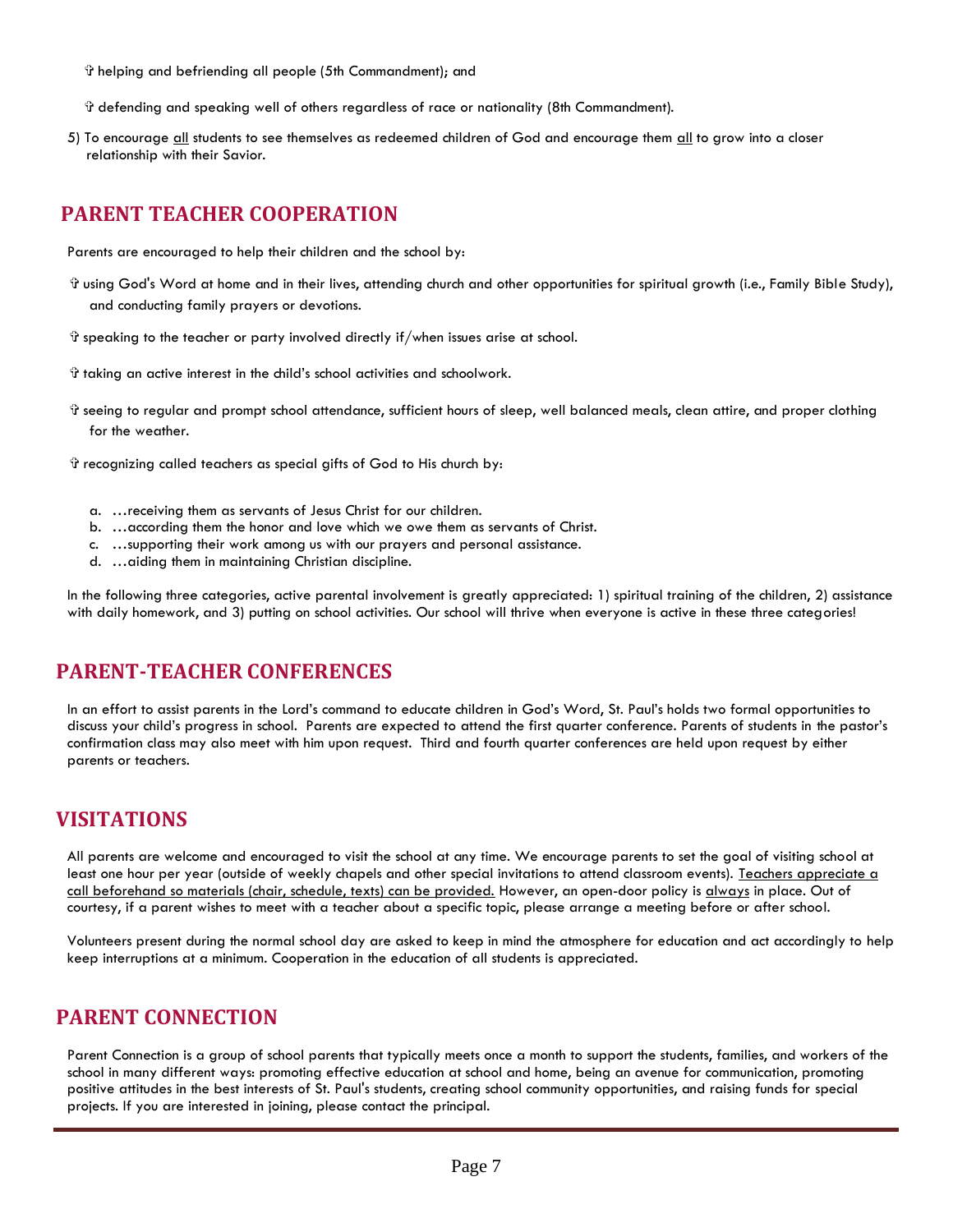✞ helping and befriending all people (5th Commandment); and

✞ defending and speaking well of others regardless of race or nationality (8th Commandment).

5) To encourage all students to see themselves as redeemed children of God and encourage them all to grow into a closer relationship with their Savior.

### **PARENT TEACHER COOPERATION**

Parents are encouraged to help their children and the school by:

- ✞ using God's Word at home and in their lives, attending church and other opportunities for spiritual growth (i.e., Family Bible Study), and conducting family prayers or devotions.
- ✞ speaking to the teacher or party involved directly if/when issues arise at school.
- ✞ taking an active interest in the child's school activities and schoolwork.
- ✞ seeing to regular and prompt school attendance, sufficient hours of sleep, well balanced meals, clean attire, and proper clothing for the weather.
- ✞ recognizing called teachers as special gifts of God to His church by:
	- a. …receiving them as servants of Jesus Christ for our children.
	- b. …according them the honor and love which we owe them as servants of Christ.
	- c. …supporting their work among us with our prayers and personal assistance.
	- d. …aiding them in maintaining Christian discipline.

In the following three categories, active parental involvement is greatly appreciated: 1) spiritual training of the children, 2) assistance with daily homework, and 3) putting on school activities. Our school will thrive when everyone is active in these three categories!

#### **PARENT-TEACHER CONFERENCES**

In an effort to assist parents in the Lord's command to educate children in God's Word, St. Paul's holds two formal opportunities to discuss your child's progress in school. Parents are expected to attend the first quarter conference. Parents of students in the pastor's confirmation class may also meet with him upon request. Third and fourth quarter conferences are held upon request by either parents or teachers.

#### **VISITATIONS**

All parents are welcome and encouraged to visit the school at any time. We encourage parents to set the goal of visiting school at least one hour per year (outside of weekly chapels and other special invitations to attend classroom events). Teachers appreciate a call beforehand so materials (chair, schedule, texts) can be provided. However, an open-door policy is always in place. Out of courtesy, if a parent wishes to meet with a teacher about a specific topic, please arrange a meeting before or after school.

Volunteers present during the normal school day are asked to keep in mind the atmosphere for education and act accordingly to help keep interruptions at a minimum. Cooperation in the education of all students is appreciated.

#### **PARENT CONNECTION**

Parent Connection is a group of school parents that typically meets once a month to support the students, families, and workers of the school in many different ways: promoting effective education at school and home, being an avenue for communication, promoting positive attitudes in the best interests of St. Paul's students, creating school community opportunities, and raising funds for special projects. If you are interested in joining, please contact the principal.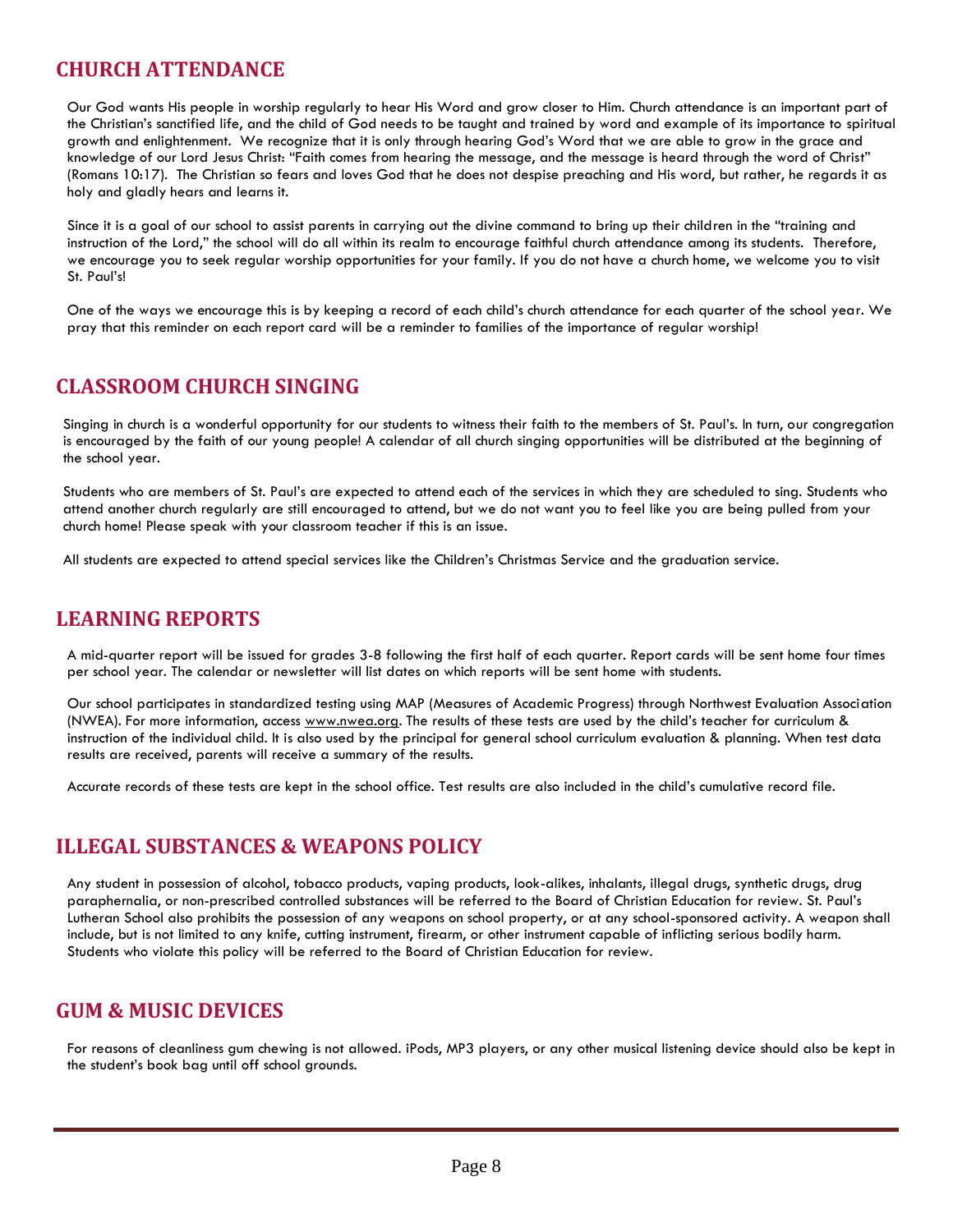# **CHURCH ATTENDANCE**

Our God wants His people in worship regularly to hear His Word and grow closer to Him. Church attendance is an important part of the Christian's sanctified life, and the child of God needs to be taught and trained by word and example of its importance to spiritual growth and enlightenment. We recognize that it is only through hearing God's Word that we are able to grow in the grace and knowledge of our Lord Jesus Christ: "Faith comes from hearing the message, and the message is heard through the word of Christ" (Romans 10:17). The Christian so fears and loves God that he does not despise preaching and His word, but rather, he regards it as holy and gladly hears and learns it.

Since it is a goal of our school to assist parents in carrying out the divine command to bring up their children in the "training and instruction of the Lord," the school will do all within its realm to encourage faithful church attendance among its students. Therefore, we encourage you to seek regular worship opportunities for your family. If you do not have a church home, we welcome you to visit St. Paul's!

One of the ways we encourage this is by keeping a record of each child's church attendance for each quarter of the school year. We pray that this reminder on each report card will be a reminder to families of the importance of regular worship!

# **CLASSROOM CHURCH SINGING**

Singing in church is a wonderful opportunity for our students to witness their faith to the members of St. Paul's. In turn, our congregation is encouraged by the faith of our young people! A calendar of all church singing opportunities will be distributed at the beginning of the school year.

Students who are members of St. Paul's are expected to attend each of the services in which they are scheduled to sing. Students who attend another church regularly are still encouraged to attend, but we do not want you to feel like you are being pulled from your church home! Please speak with your classroom teacher if this is an issue.

All students are expected to attend special services like the Children's Christmas Service and the graduation service.

#### **LEARNING REPORTS**

A mid-quarter report will be issued for grades 3-8 following the first half of each quarter. Report cards will be sent home four times per school year. The calendar or newsletter will list dates on which reports will be sent home with students.

Our school participates in standardized testing using MAP (Measures of Academic Progress) through Northwest Evaluation Association (NWEA). For more information, access [www.nwea.org](http://www.nwea.org/). The results of these tests are used by the child's teacher for curriculum & instruction of the individual child. It is also used by the principal for general school curriculum evaluation & planning. When test data results are received, parents will receive a summary of the results.

Accurate records of these tests are kept in the school office. Test results are also included in the child's cumulative record file.

## **ILLEGAL SUBSTANCES & WEAPONS POLICY**

Any student in possession of alcohol, tobacco products, vaping products, look-alikes, inhalants, illegal drugs, synthetic drugs, drug paraphernalia, or non-prescribed controlled substances will be referred to the Board of Christian Education for review. St. Paul's Lutheran School also prohibits the possession of any weapons on school property, or at any school-sponsored activity. A weapon shall include, but is not limited to any knife, cutting instrument, firearm, or other instrument capable of inflicting serious bodily harm. Students who violate this policy will be referred to the Board of Christian Education for review.

## **GUM & MUSIC DEVICES**

For reasons of cleanliness gum chewing is not allowed. iPods, MP3 players, or any other musical listening device should also be kept in the student's book bag until off school grounds.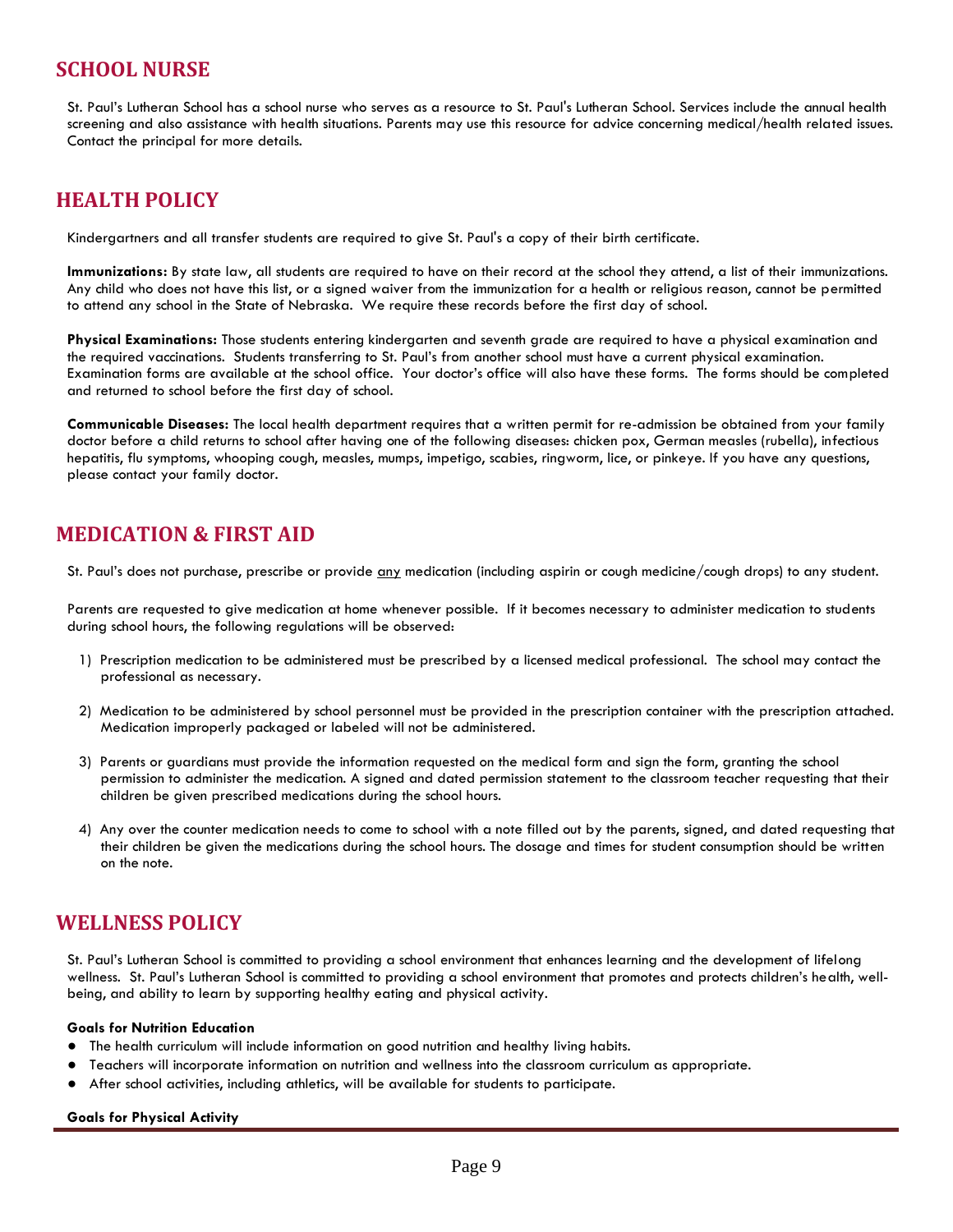### **SCHOOL NURSE**

St. Paul's Lutheran School has a school nurse who serves as a resource to St. Paul's Lutheran School. Services include the annual health screening and also assistance with health situations. Parents may use this resource for advice concerning medical/health related issues. Contact the principal for more details.

## **HEALTH POLICY**

Kindergartners and all transfer students are required to give St. Paul's a copy of their birth certificate.

**Immunizations:** By state law, all students are required to have on their record at the school they attend, a list of their immunizations. Any child who does not have this list, or a signed waiver from the immunization for a health or religious reason, cannot be permitted to attend any school in the State of Nebraska. We require these records before the first day of school.

**Physical Examinations:** Those students entering kindergarten and seventh grade are required to have a physical examination and the required vaccinations. Students transferring to St. Paul's from another school must have a current physical examination. Examination forms are available at the school office. Your doctor's office will also have these forms. The forms should be completed and returned to school before the first day of school.

**Communicable Diseases:** The local health department requires that a written permit for re-admission be obtained from your family doctor before a child returns to school after having one of the following diseases: chicken pox, German measles (rubella), infectious hepatitis, flu symptoms, whooping cough, measles, mumps, impetigo, scabies, ringworm, lice, or pinkeye. If you have any questions, please contact your family doctor.

## **MEDICATION & FIRST AID**

St. Paul's does not purchase, prescribe or provide any medication (including aspirin or cough medicine/cough drops) to any student.

Parents are requested to give medication at home whenever possible. If it becomes necessary to administer medication to students during school hours, the following regulations will be observed:

- 1) Prescription medication to be administered must be prescribed by a licensed medical professional. The school may contact the professional as necessary.
- 2) Medication to be administered by school personnel must be provided in the prescription container with the prescription attached. Medication improperly packaged or labeled will not be administered.
- 3) Parents or guardians must provide the information requested on the medical form and sign the form, granting the school permission to administer the medication. A signed and dated permission statement to the classroom teacher requesting that their children be given prescribed medications during the school hours.
- 4) Any over the counter medication needs to come to school with a note filled out by the parents, signed, and dated requesting that their children be given the medications during the school hours. The dosage and times for student consumption should be written on the note.

## **WELLNESS POLICY**

St. Paul's Lutheran School is committed to providing a school environment that enhances learning and the development of lifelong wellness. St. Paul's Lutheran School is committed to providing a school environment that promotes and protects children's health, wellbeing, and ability to learn by supporting healthy eating and physical activity.

#### **Goals for Nutrition Education**

- The health curriculum will include information on good nutrition and healthy living habits.
- Teachers will incorporate information on nutrition and wellness into the classroom curriculum as appropriate.
- After school activities, including athletics, will be available for students to participate.

#### **Goals for Physical Activity**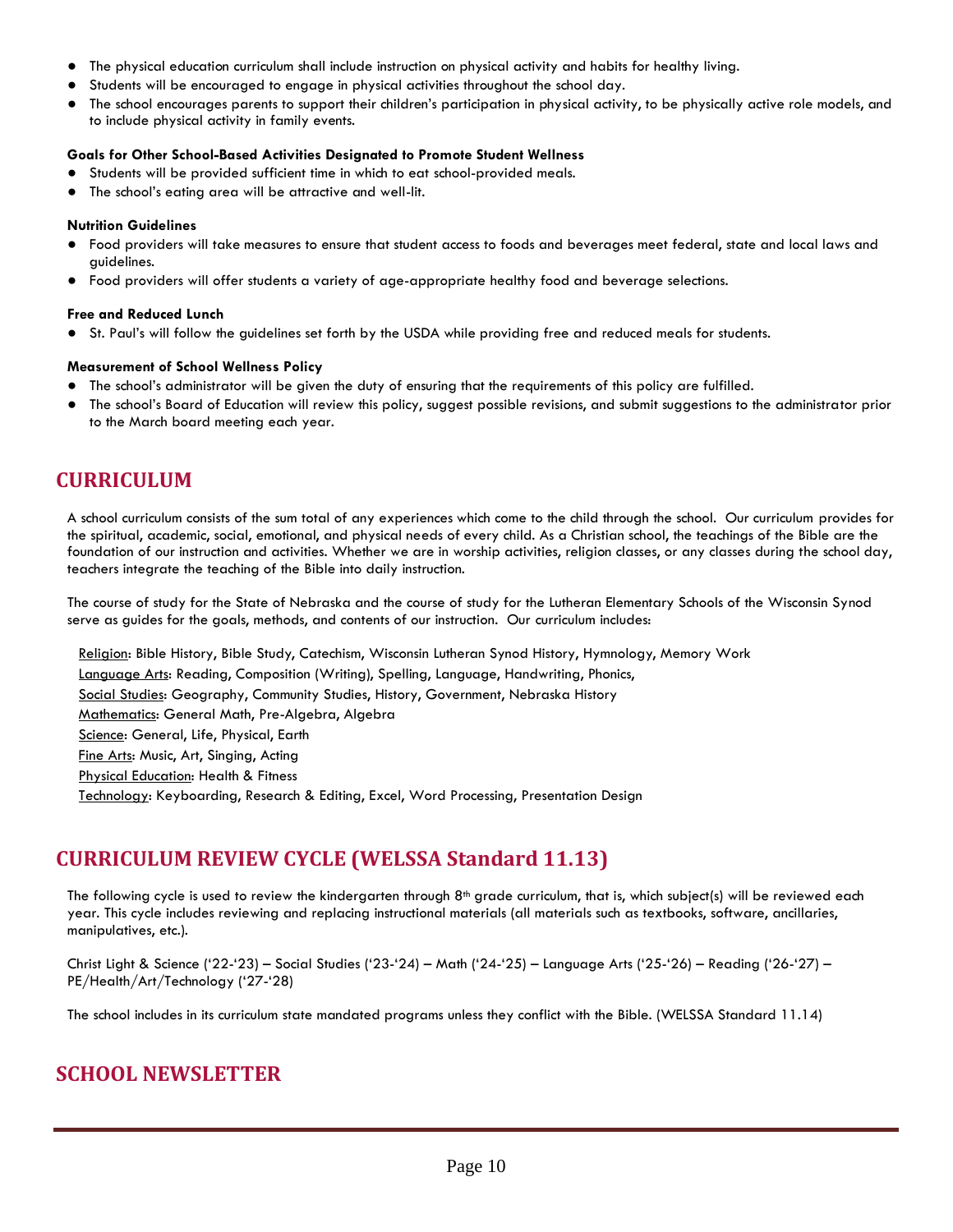- The physical education curriculum shall include instruction on physical activity and habits for healthy living.
- Students will be encouraged to engage in physical activities throughout the school day.
- The school encourages parents to support their children's participation in physical activity, to be physically active role models, and to include physical activity in family events.

#### **Goals for Other School-Based Activities Designated to Promote Student Wellness**

- Students will be provided sufficient time in which to eat school-provided meals.
- The school's eating area will be attractive and well-lit.

#### **Nutrition Guidelines**

- Food providers will take measures to ensure that student access to foods and beverages meet federal, state and local laws and guidelines.
- Food providers will offer students a variety of age-appropriate healthy food and beverage selections.

#### **Free and Reduced Lunch**

St. Paul's will follow the quidelines set forth by the USDA while providing free and reduced meals for students.

#### **Measurement of School Wellness Policy**

- The school's administrator will be given the duty of ensuring that the requirements of this policy are fulfilled.
- The school's Board of Education will review this policy, suggest possible revisions, and submit suggestions to the administrator prior to the March board meeting each year.

# **CURRICULUM**

A school curriculum consists of the sum total of any experiences which come to the child through the school. Our curriculum provides for the spiritual, academic, social, emotional, and physical needs of every child. As a Christian school, the teachings of the Bible are the foundation of our instruction and activities. Whether we are in worship activities, religion classes, or any classes during the school day, teachers integrate the teaching of the Bible into daily instruction.

The course of study for the State of Nebraska and the course of study for the Lutheran Elementary Schools of the Wisconsin Synod serve as guides for the goals, methods, and contents of our instruction. Our curriculum includes:

Religion: Bible History, Bible Study, Catechism, Wisconsin Lutheran Synod History, Hymnology, Memory Work

Language Arts: Reading, Composition (Writing), Spelling, Language, Handwriting, Phonics,

Social Studies: Geography, Community Studies, History, Government, Nebraska History

Mathematics: General Math, Pre-Algebra, Algebra

Science: General, Life, Physical, Earth

Fine Arts: Music, Art, Singing, Acting

Physical Education: Health & Fitness

Technology: Keyboarding, Research & Editing, Excel, Word Processing, Presentation Design

# **CURRICULUM REVIEW CYCLE (WELSSA Standard 11.13)**

The following cycle is used to review the kindergarten through  $8<sup>th</sup>$  grade curriculum, that is, which subject(s) will be reviewed each year. This cycle includes reviewing and replacing instructional materials (all materials such as textbooks, software, ancillaries, manipulatives, etc.).

Christ Light & Science ('22-'23) – Social Studies ('23-'24) – Math ('24-'25) – Language Arts ('25-'26) – Reading ('26-'27) – PE/Health/Art/Technology ('27-'28)

The school includes in its curriculum state mandated programs unless they conflict with the Bible. (WELSSA Standard 11.14)

## **SCHOOL NEWSLETTER**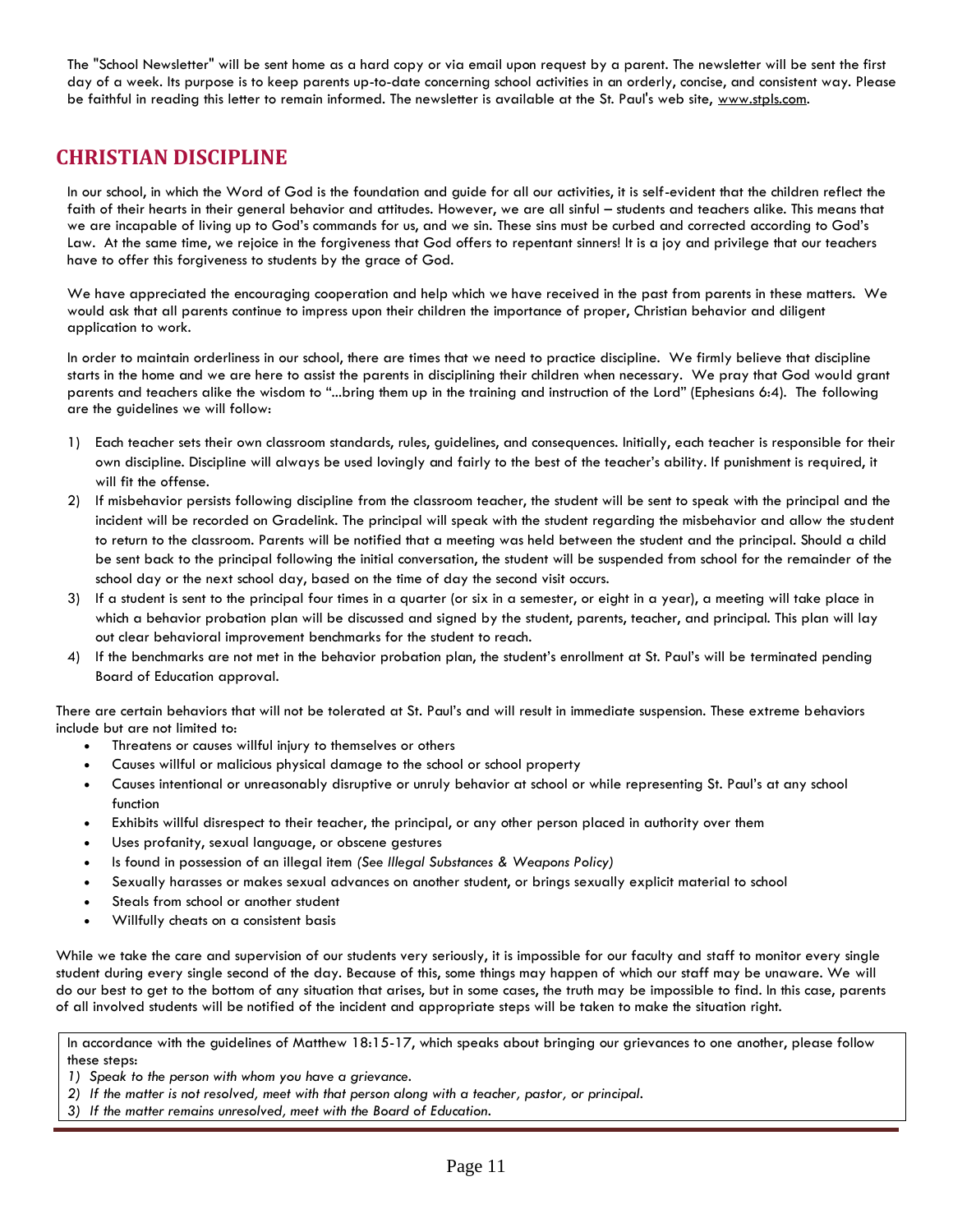The "School Newsletter" will be sent home as a hard copy or via email upon request by a parent. The newsletter will be sent the first day of a week. Its purpose is to keep parents up-to-date concerning school activities in an orderly, concise, and consistent way. Please be faithful in reading this letter to remain informed. The newsletter is available at the St. Paul's web site, [www.stpls.com.](http://www.stpls.com/)

## **CHRISTIAN DISCIPLINE**

In our school, in which the Word of God is the foundation and guide for all our activities, it is self-evident that the children reflect the faith of their hearts in their general behavior and attitudes. However, we are all sinful – students and teachers alike. This means that we are incapable of living up to God's commands for us, and we sin. These sins must be curbed and corrected according to God's Law. At the same time, we rejoice in the forgiveness that God offers to repentant sinners! It is a joy and privilege that our teachers have to offer this forgiveness to students by the grace of God.

We have appreciated the encouraging cooperation and help which we have received in the past from parents in these matters. We would ask that all parents continue to impress upon their children the importance of proper, Christian behavior and diligent application to work.

In order to maintain orderliness in our school, there are times that we need to practice discipline. We firmly believe that discipline starts in the home and we are here to assist the parents in disciplining their children when necessary. We pray that God would grant parents and teachers alike the wisdom to "...bring them up in the training and instruction of the Lord" (Ephesians 6:4). The following are the guidelines we will follow:

- 1) Each teacher sets their own classroom standards, rules, guidelines, and consequences. Initially, each teacher is responsible for their own discipline. Discipline will always be used lovingly and fairly to the best of the teacher's ability. If punishment is required, it will fit the offense.
- 2) If misbehavior persists following discipline from the classroom teacher, the student will be sent to speak with the principal and the incident will be recorded on Gradelink. The principal will speak with the student regarding the misbehavior and allow the student to return to the classroom. Parents will be notified that a meeting was held between the student and the principal. Should a child be sent back to the principal following the initial conversation, the student will be suspended from school for the remainder of the school day or the next school day, based on the time of day the second visit occurs.
- 3) If a student is sent to the principal four times in a quarter (or six in a semester, or eight in a year), a meeting will take place in which a behavior probation plan will be discussed and signed by the student, parents, teacher, and principal. This plan will lay out clear behavioral improvement benchmarks for the student to reach.
- 4) If the benchmarks are not met in the behavior probation plan, the student's enrollment at St. Paul's will be terminated pending Board of Education approval.

There are certain behaviors that will not be tolerated at St. Paul's and will result in immediate suspension. These extreme behaviors include but are not limited to:

- Threatens or causes willful injury to themselves or others
- Causes willful or malicious physical damage to the school or school property
- Causes intentional or unreasonably disruptive or unruly behavior at school or while representing St. Paul's at any school function
- Exhibits willful disrespect to their teacher, the principal, or any other person placed in authority over them
- Uses profanity, sexual language, or obscene gestures
- Is found in possession of an illegal item *(See Illegal Substances & Weapons Policy)*
- Sexually harasses or makes sexual advances on another student, or brings sexually explicit material to school
- Steals from school or another student
- Willfully cheats on a consistent basis

While we take the care and supervision of our students very seriously, it is impossible for our faculty and staff to monitor every single student during every single second of the day. Because of this, some things may happen of which our staff may be unaware. We will do our best to get to the bottom of any situation that arises, but in some cases, the truth may be impossible to find. In this case, parents of all involved students will be notified of the incident and appropriate steps will be taken to make the situation right.

In accordance with the guidelines of Matthew 18:15-17, which speaks about bringing our grievances to one another, please follow these steps:

*<sup>1)</sup> Speak to the person with whom you have a grievance.*

*<sup>2)</sup> If the matter is not resolved, meet with that person along with a teacher, pastor, or principal.*

*<sup>3)</sup> If the matter remains unresolved, meet with the Board of Education*.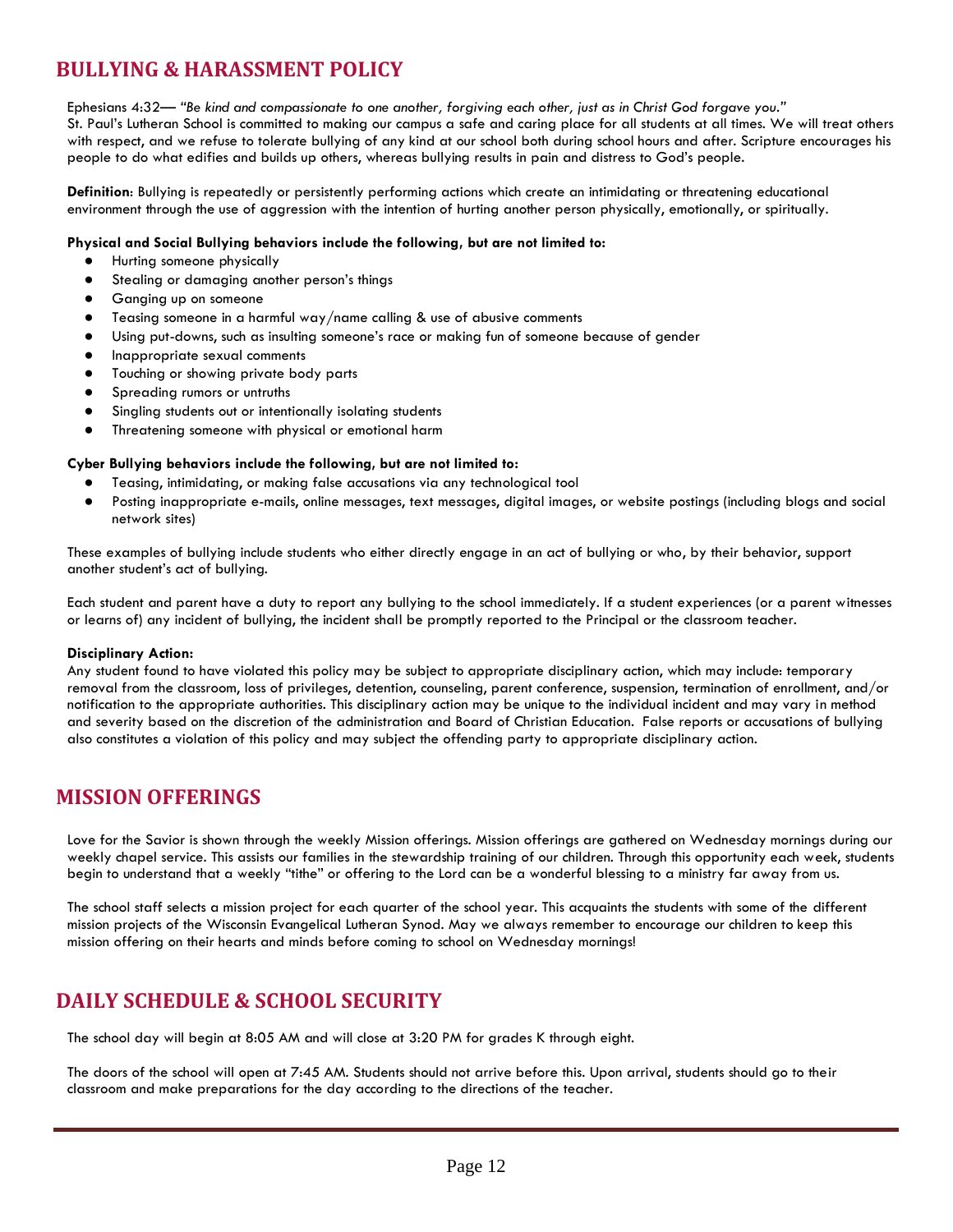# **BULLYING & HARASSMENT POLICY**

Ephesians 4:32— *"Be kind and compassionate to one another, forgiving each other, just as in Christ God forgave you."* St. Paul's Lutheran School is committed to making our campus a safe and caring place for all students at all times. We will treat others with respect, and we refuse to tolerate bullying of any kind at our school both during school hours and after. Scripture encourages his people to do what edifies and builds up others, whereas bullying results in pain and distress to God's people.

**Definition**: Bullying is repeatedly or persistently performing actions which create an intimidating or threatening educational environment through the use of aggression with the intention of hurting another person physically, emotionally, or spiritually.

#### **Physical and Social Bullying behaviors include the following, but are not limited to:**

- Hurting someone physically
- Stealing or damaging another person's things
- Ganging up on someone
- Teasing someone in a harmful way/name calling & use of abusive comments
- Using put-downs, such as insulting someone's race or making fun of someone because of gender
- Inappropriate sexual comments
- Touching or showing private body parts
- Spreading rumors or untruths
- Singling students out or intentionally isolating students
- Threatening someone with physical or emotional harm

#### **Cyber Bullying behaviors include the following, but are not limited to:**

- Teasing, intimidating, or making false accusations via any technological tool
- Posting inappropriate e-mails, online messages, text messages, digital images, or website postings (including blogs and social network sites)

These examples of bullying include students who either directly engage in an act of bullying or who, by their behavior, support another student's act of bullying.

Each student and parent have a duty to report any bullying to the school immediately. If a student experiences (or a parent witnesses or learns of) any incident of bullying, the incident shall be promptly reported to the Principal or the classroom teacher.

#### **Disciplinary Action:**

Any student found to have violated this policy may be subject to appropriate disciplinary action, which may include: temporary removal from the classroom, loss of privileges, detention, counseling, parent conference, suspension, termination of enrollment, and/or notification to the appropriate authorities. This disciplinary action may be unique to the individual incident and may vary in method and severity based on the discretion of the administration and Board of Christian Education. False reports or accusations of bullying also constitutes a violation of this policy and may subject the offending party to appropriate disciplinary action.

#### **MISSION OFFERINGS**

Love for the Savior is shown through the weekly Mission offerings. Mission offerings are gathered on Wednesday mornings during our weekly chapel service. This assists our families in the stewardship training of our children. Through this opportunity each week, students begin to understand that a weekly "tithe" or offering to the Lord can be a wonderful blessing to a ministry far away from us.

The school staff selects a mission project for each quarter of the school year. This acquaints the students with some of the different mission projects of the Wisconsin Evangelical Lutheran Synod. May we always remember to encourage our children to keep this mission offering on their hearts and minds before coming to school on Wednesday mornings!

## **DAILY SCHEDULE & SCHOOL SECURITY**

The school day will begin at 8:05 AM and will close at 3:20 PM for grades K through eight.

The doors of the school will open at 7:45 AM. Students should not arrive before this. Upon arrival, students should go to their classroom and make preparations for the day according to the directions of the teacher.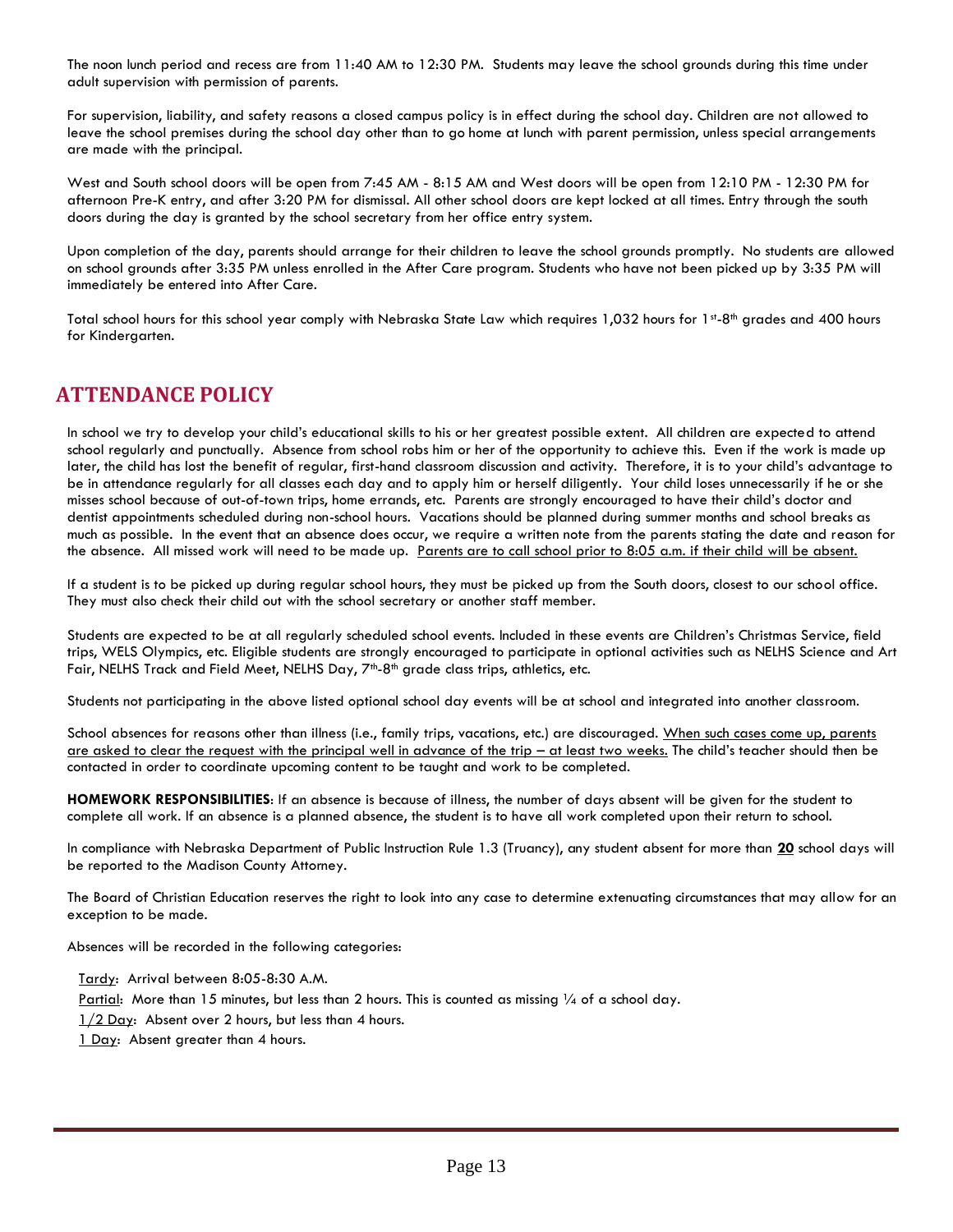The noon lunch period and recess are from 11:40 AM to 12:30 PM. Students may leave the school grounds during this time under adult supervision with permission of parents.

For supervision, liability, and safety reasons a closed campus policy is in effect during the school day. Children are not allowed to leave the school premises during the school day other than to go home at lunch with parent permission, unless special arrangements are made with the principal.

West and South school doors will be open from 7:45 AM - 8:15 AM and West doors will be open from 12:10 PM - 12:30 PM for afternoon Pre-K entry, and after 3:20 PM for dismissal. All other school doors are kept locked at all times. Entry through the south doors during the day is granted by the school secretary from her office entry system.

Upon completion of the day, parents should arrange for their children to leave the school grounds promptly. No students are allowed on school grounds after 3:35 PM unless enrolled in the After Care program. Students who have not been picked up by 3:35 PM will immediately be entered into After Care.

Total school hours for this school year comply with Nebraska State Law which requires 1,032 hours for 1st-8th grades and 400 hours for Kindergarten.

## **ATTENDANCE POLICY**

In school we try to develop your child's educational skills to his or her greatest possible extent. All children are expected to attend school regularly and punctually. Absence from school robs him or her of the opportunity to achieve this. Even if the work is made up later, the child has lost the benefit of regular, first-hand classroom discussion and activity. Therefore, it is to your child's advantage to be in attendance regularly for all classes each day and to apply him or herself diligently. Your child loses unnecessarily if he or she misses school because of out-of-town trips, home errands, etc. Parents are strongly encouraged to have their child's doctor and dentist appointments scheduled during non-school hours. Vacations should be planned during summer months and school breaks as much as possible. In the event that an absence does occur, we require a written note from the parents stating the date and reason for the absence. All missed work will need to be made up. Parents are to call school prior to 8:05 a.m. if their child will be absent.

If a student is to be picked up during regular school hours, they must be picked up from the South doors, closest to our school office. They must also check their child out with the school secretary or another staff member.

Students are expected to be at all regularly scheduled school events. Included in these events are Children's Christmas Service, field trips, WELS Olympics, etc. Eligible students are strongly encouraged to participate in optional activities such as NELHS Science and Art Fair, NELHS Track and Field Meet, NELHS Day, 7<sup>th</sup>-8<sup>th</sup> grade class trips, athletics, etc.

Students not participating in the above listed optional school day events will be at school and integrated into another classroom.

School absences for reasons other than illness (i.e., family trips, vacations, etc.) are discouraged. When such cases come up, parents are asked to clear the request with the principal well in advance of the trip – at least two weeks. The child's teacher should then be contacted in order to coordinate upcoming content to be taught and work to be completed.

**HOMEWORK RESPONSIBILITIES**: If an absence is because of illness, the number of days absent will be given for the student to complete all work. If an absence is a planned absence, the student is to have all work completed upon their return to school.

In compliance with Nebraska Department of Public Instruction Rule 1.3 (Truancy), any student absent for more than **20** school days will be reported to the Madison County Attorney.

The Board of Christian Education reserves the right to look into any case to determine extenuating circumstances that may allow for an exception to be made.

Absences will be recorded in the following categories:

Tardy: Arrival between 8:05-8:30 A.M.

Partial: More than 15 minutes, but less than 2 hours. This is counted as missing  $\frac{1}{4}$  of a school day.

 $1/2$  Day: Absent over 2 hours, but less than 4 hours.

1 Day: Absent greater than 4 hours.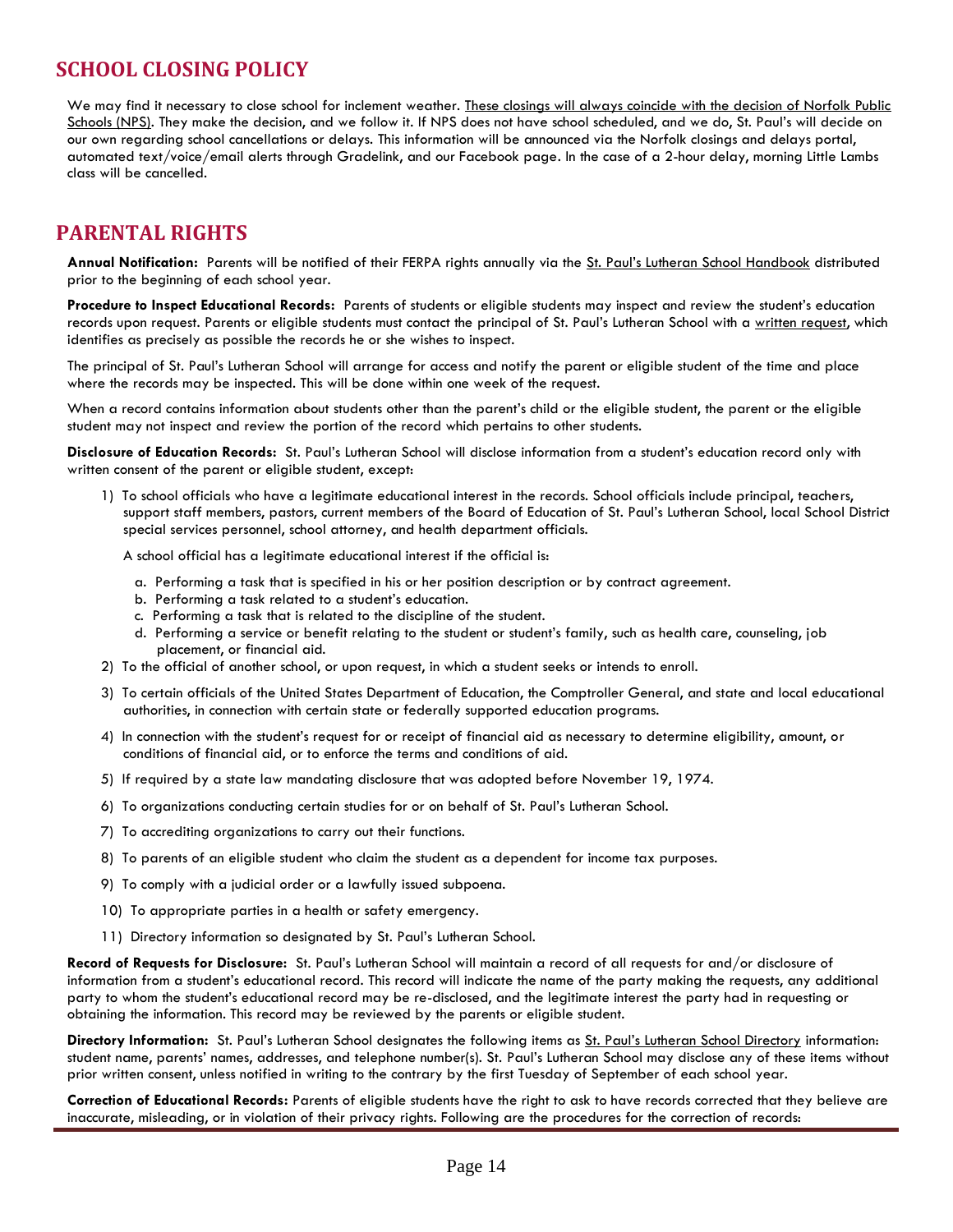# **SCHOOL CLOSING POLICY**

We may find it necessary to close school for inclement weather. These closings will always coincide with the decision of Norfolk Public Schools (NPS). They make the decision, and we follow it. If NPS does not have school scheduled, and we do, St. Paul's will decide on our own regarding school cancellations or delays. This information will be announced via the Norfolk closings and delays portal, automated text/voice/email alerts through Gradelink, and our Facebook page. In the case of a 2-hour delay, morning Little Lambs class will be cancelled.

## **PARENTAL RIGHTS**

**Annual Notification:** Parents will be notified of their FERPA rights annually via the St. Paul's Lutheran School Handbook distributed prior to the beginning of each school year.

**Procedure to Inspect Educational Records:** Parents of students or eligible students may inspect and review the student's education records upon request. Parents or eligible students must contact the principal of St. Paul's Lutheran School with a written request, which identifies as precisely as possible the records he or she wishes to inspect.

The principal of St. Paul's Lutheran School will arrange for access and notify the parent or eligible student of the time and place where the records may be inspected. This will be done within one week of the request.

When a record contains information about students other than the parent's child or the eligible student, the parent or the eligible student may not inspect and review the portion of the record which pertains to other students.

**Disclosure of Education Records:** St. Paul's Lutheran School will disclose information from a student's education record only with written consent of the parent or eligible student, except:

1) To school officials who have a legitimate educational interest in the records. School officials include principal, teachers, support staff members, pastors, current members of the Board of Education of St. Paul's Lutheran School, local School District special services personnel, school attorney, and health department officials.

A school official has a legitimate educational interest if the official is:

- a. Performing a task that is specified in his or her position description or by contract agreement.
- b. Performing a task related to a student's education.
- c. Performing a task that is related to the discipline of the student.
- d. Performing a service or benefit relating to the student or student's family, such as health care, counseling, job placement, or financial aid.
- 2) To the official of another school, or upon request, in which a student seeks or intends to enroll.
- 3) To certain officials of the United States Department of Education, the Comptroller General, and state and local educational authorities, in connection with certain state or federally supported education programs.
- 4) In connection with the student's request for or receipt of financial aid as necessary to determine eligibility, amount, or conditions of financial aid, or to enforce the terms and conditions of aid.
- 5) If required by a state law mandating disclosure that was adopted before November 19, 1974.
- 6) To organizations conducting certain studies for or on behalf of St. Paul's Lutheran School.
- 7) To accrediting organizations to carry out their functions.
- 8) To parents of an eligible student who claim the student as a dependent for income tax purposes.
- 9) To comply with a judicial order or a lawfully issued subpoena.
- 10) To appropriate parties in a health or safety emergency.
- 11) Directory information so designated by St. Paul's Lutheran School.

**Record of Requests for Disclosure:** St. Paul's Lutheran School will maintain a record of all requests for and/or disclosure of information from a student's educational record. This record will indicate the name of the party making the requests, any additional party to whom the student's educational record may be re-disclosed, and the legitimate interest the party had in requesting or obtaining the information. This record may be reviewed by the parents or eligible student.

**Directory Information:** St. Paul's Lutheran School designates the following items as St. Paul's Lutheran School Directory information: student name, parents' names, addresses, and telephone number(s). St. Paul's Lutheran School may disclose any of these items without prior written consent, unless notified in writing to the contrary by the first Tuesday of September of each school year.

**Correction of Educational Records:** Parents of eligible students have the right to ask to have records corrected that they believe are inaccurate, misleading, or in violation of their privacy rights. Following are the procedures for the correction of records: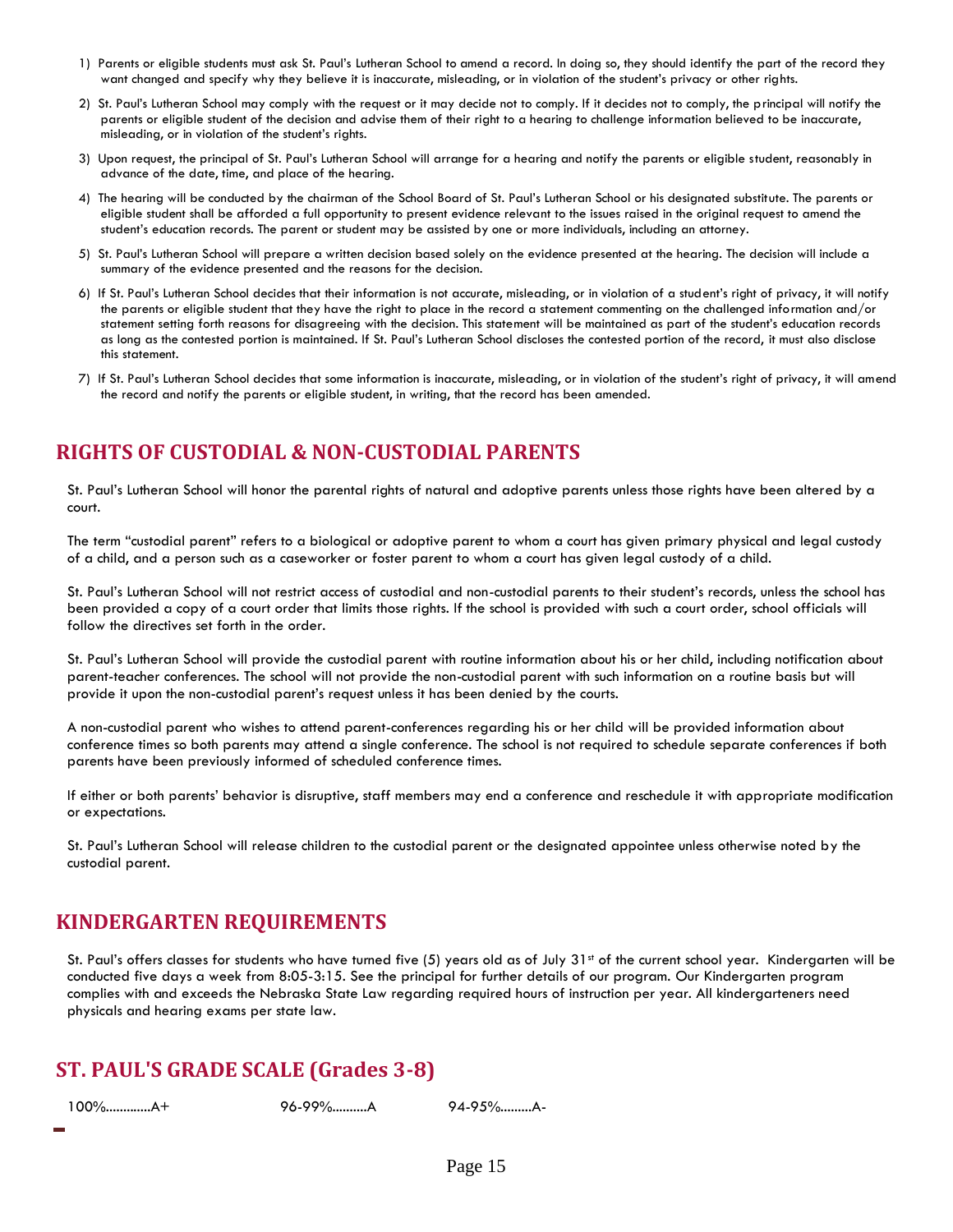- 1) Parents or eligible students must ask St. Paul's Lutheran School to amend a record. In doing so, they should identify the part of the record they want changed and specify why they believe it is inaccurate, misleading, or in violation of the student's privacy or other rights.
- 2) St. Paul's Lutheran School may comply with the request or it may decide not to comply. If it decides not to comply, the principal will notify the parents or eligible student of the decision and advise them of their right to a hearing to challenge information believed to be inaccurate, misleading, or in violation of the student's rights.
- 3) Upon request, the principal of St. Paul's Lutheran School will arrange for a hearing and notify the parents or eligible student, reasonably in advance of the date, time, and place of the hearing.
- 4) The hearing will be conducted by the chairman of the School Board of St. Paul's Lutheran School or his designated substitute. The parents or eligible student shall be afforded a full opportunity to present evidence relevant to the issues raised in the original request to amend the student's education records. The parent or student may be assisted by one or more individuals, including an attorney.
- 5) St. Paul's Lutheran School will prepare a written decision based solely on the evidence presented at the hearing. The decision will include a summary of the evidence presented and the reasons for the decision.
- 6) If St. Paul's Lutheran School decides that their information is not accurate, misleading, or in violation of a student's right of privacy, it will notify the parents or eligible student that they have the right to place in the record a statement commenting on the challenged information and/or statement setting forth reasons for disagreeing with the decision. This statement will be maintained as part of the student's education records as long as the contested portion is maintained. If St. Paul's Lutheran School discloses the contested portion of the record, it must also disclose this statement.
- 7) If St. Paul's Lutheran School decides that some information is inaccurate, misleading, or in violation of the student's right of privacy, it will amend the record and notify the parents or eligible student, in writing, that the record has been amended.

## **RIGHTS OF CUSTODIAL & NON-CUSTODIAL PARENTS**

St. Paul's Lutheran School will honor the parental rights of natural and adoptive parents unless those rights have been altered by a court.

The term "custodial parent" refers to a biological or adoptive parent to whom a court has given primary physical and legal custody of a child, and a person such as a caseworker or foster parent to whom a court has given legal custody of a child.

St. Paul's Lutheran School will not restrict access of custodial and non-custodial parents to their student's records, unless the school has been provided a copy of a court order that limits those rights. If the school is provided with such a court order, school officials will follow the directives set forth in the order.

St. Paul's Lutheran School will provide the custodial parent with routine information about his or her child, including notification about parent-teacher conferences. The school will not provide the non-custodial parent with such information on a routine basis but will provide it upon the non-custodial parent's request unless it has been denied by the courts.

A non-custodial parent who wishes to attend parent-conferences regarding his or her child will be provided information about conference times so both parents may attend a single conference. The school is not required to schedule separate conferences if both parents have been previously informed of scheduled conference times.

If either or both parents' behavior is disruptive, staff members may end a conference and reschedule it with appropriate modification or expectations.

St. Paul's Lutheran School will release children to the custodial parent or the designated appointee unless otherwise noted by the custodial parent.

## **KINDERGARTEN REQUIREMENTS**

St. Paul's offers classes for students who have turned five  $(5)$  years old as of July 31st of the current school year. Kindergarten will be conducted five days a week from 8:05-3:15. See the principal for further details of our program. Our Kindergarten program complies with and exceeds the Nebraska State Law regarding required hours of instruction per year. All kindergarteners need physicals and hearing exams per state law.

## **ST. PAUL'S GRADE SCALE (Grades 3-8)**

100%.............A+ 96-99%..........A 94-95%.........A-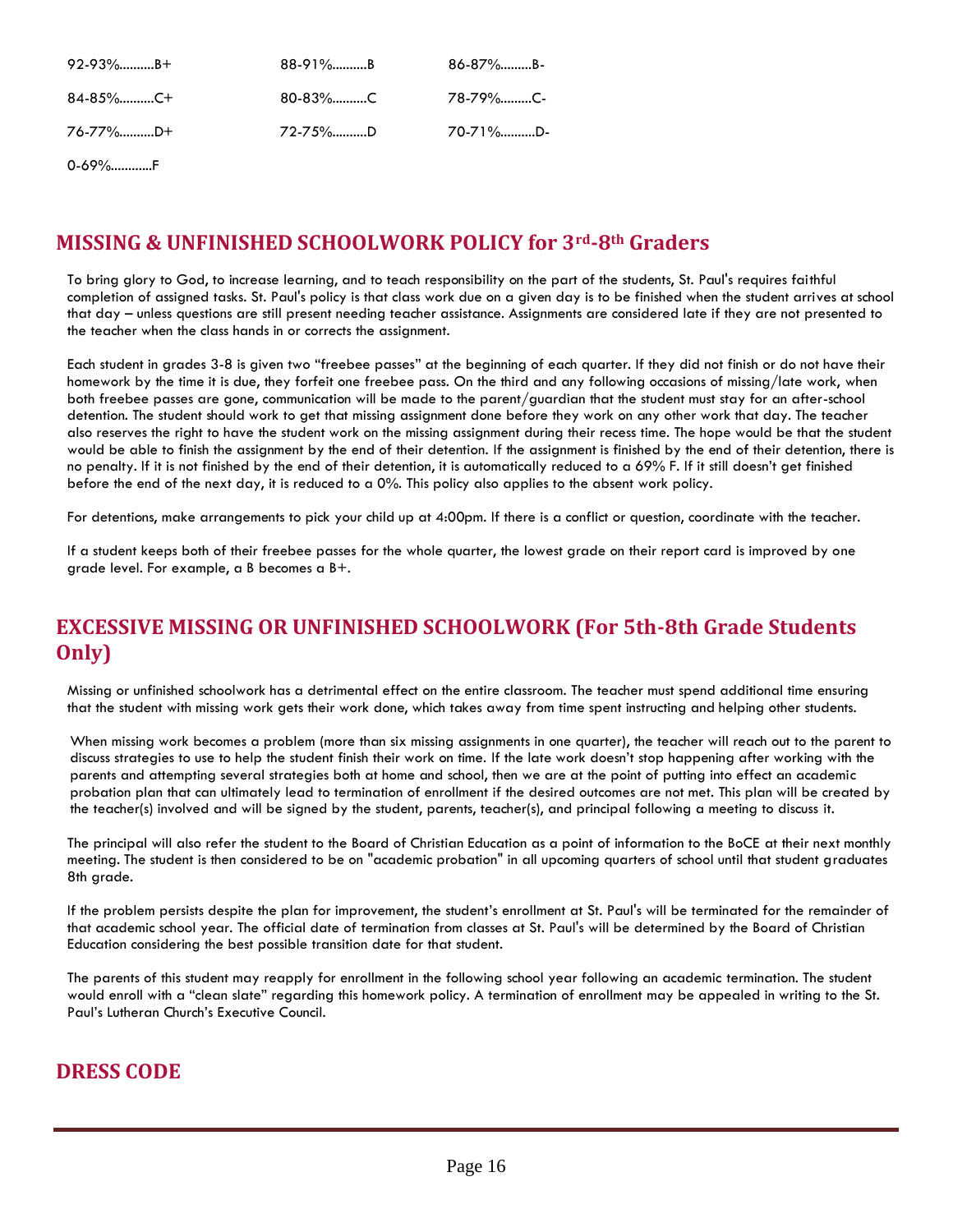| $92-93\%$ B+ | 88-91%B  | 86-87%B- |
|--------------|----------|----------|
| 84-85%C+     |          | .78-79%C |
| 76-77%D+     | 72-75\%D | 70-71%D- |

0-69%............F

# **MISSING & UNFINISHED SCHOOLWORK POLICY for 3rd-8th Graders**

To bring glory to God, to increase learning, and to teach responsibility on the part of the students, St. Paul's requires faithful completion of assigned tasks. St. Paul's policy is that class work due on a given day is to be finished when the student arrives at school that day – unless questions are still present needing teacher assistance. Assignments are considered late if they are not presented to the teacher when the class hands in or corrects the assignment.

Each student in grades 3-8 is given two "freebee passes" at the beginning of each quarter. If they did not finish or do not have their homework by the time it is due, they forfeit one freebee pass. On the third and any following occasions of missing/late work, when both freebee passes are gone, communication will be made to the parent/guardian that the student must stay for an after-school detention. The student should work to get that missing assignment done before they work on any other work that day. The teacher also reserves the right to have the student work on the missing assignment during their recess time. The hope would be that the student would be able to finish the assignment by the end of their detention. If the assignment is finished by the end of their detention, there is no penalty. If it is not finished by the end of their detention, it is automatically reduced to a 69% F. If it still doesn't get finished before the end of the next day, it is reduced to a 0%. This policy also applies to the absent work policy.

For detentions, make arrangements to pick your child up at 4:00pm. If there is a conflict or question, coordinate with the teacher.

If a student keeps both of their freebee passes for the whole quarter, the lowest grade on their report card is improved by one grade level. For example, a B becomes a B+.

# **EXCESSIVE MISSING OR UNFINISHED SCHOOLWORK (For 5th-8th Grade Students Only)**

Missing or unfinished schoolwork has a detrimental effect on the entire classroom. The teacher must spend additional time ensuring that the student with missing work gets their work done, which takes away from time spent instructing and helping other students.

When missing work becomes a problem (more than six missing assignments in one quarter), the teacher will reach out to the parent to discuss strategies to use to help the student finish their work on time. If the late work doesn't stop happening after working with the parents and attempting several strategies both at home and school, then we are at the point of putting into effect an academic probation plan that can ultimately lead to termination of enrollment if the desired outcomes are not met. This plan will be created by the teacher(s) involved and will be signed by the student, parents, teacher(s), and principal following a meeting to discuss it.

The principal will also refer the student to the Board of Christian Education as a point of information to the BoCE at their next monthly meeting. The student is then considered to be on "academic probation" in all upcoming quarters of school until that student graduates 8th grade.

If the problem persists despite the plan for improvement, the student's enrollment at St. Paul's will be terminated for the remainder of that academic school year. The official date of termination from classes at St. Paul's will be determined by the Board of Christian Education considering the best possible transition date for that student.

The parents of this student may reapply for enrollment in the following school year following an academic termination. The student would enroll with a "clean slate" regarding this homework policy. A termination of enrollment may be appealed in writing to the St. Paul's Lutheran Church's Executive Council.

# **DRESS CODE**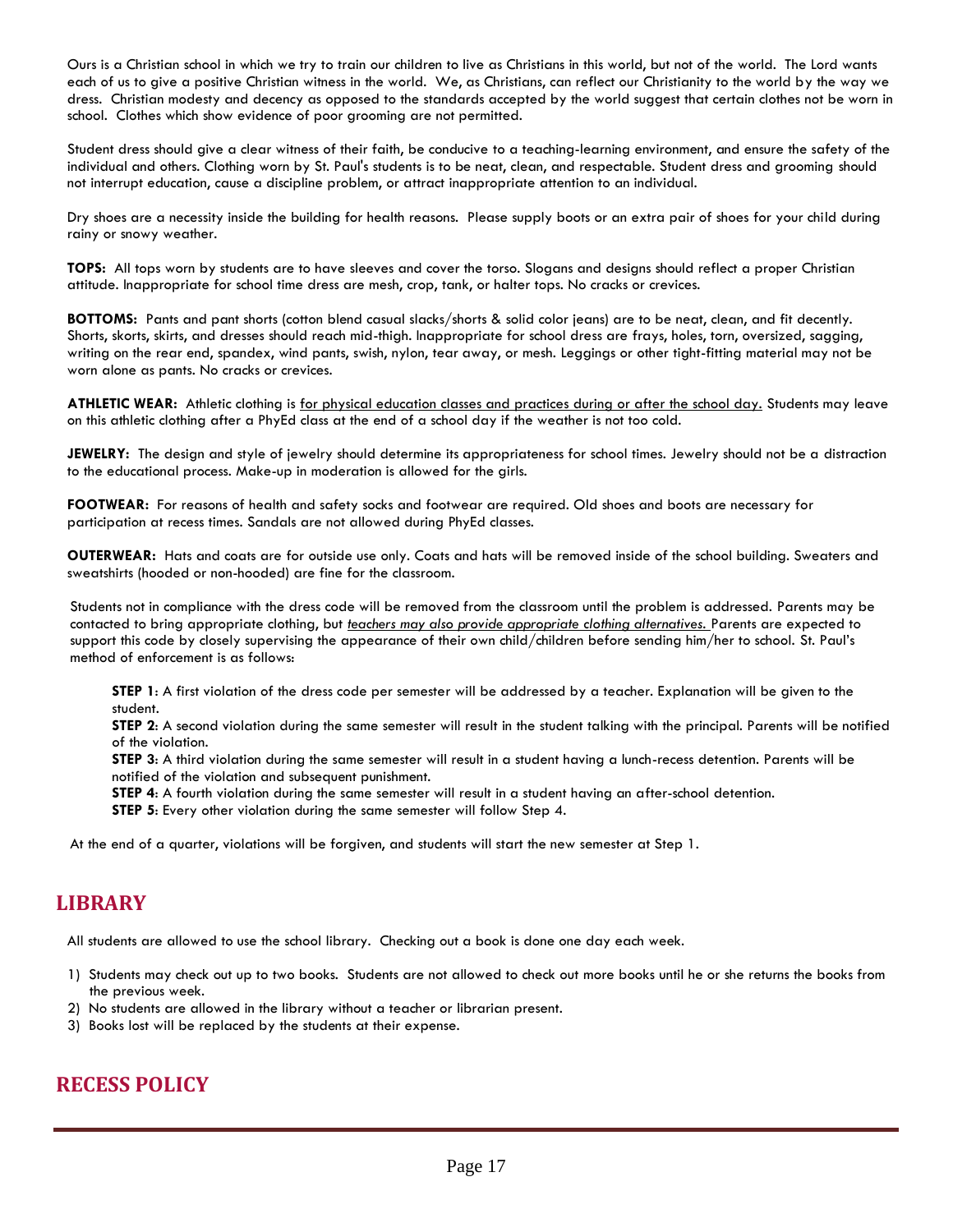Ours is a Christian school in which we try to train our children to live as Christians in this world, but not of the world. The Lord wants each of us to give a positive Christian witness in the world. We, as Christians, can reflect our Christianity to the world by the way we dress. Christian modesty and decency as opposed to the standards accepted by the world suggest that certain clothes not be worn in school. Clothes which show evidence of poor grooming are not permitted.

Student dress should give a clear witness of their faith, be conducive to a teaching-learning environment, and ensure the safety of the individual and others. Clothing worn by St. Paul's students is to be neat, clean, and respectable. Student dress and grooming should not interrupt education, cause a discipline problem, or attract inappropriate attention to an individual.

Dry shoes are a necessity inside the building for health reasons. Please supply boots or an extra pair of shoes for your child during rainy or snowy weather.

**TOPS:** All tops worn by students are to have sleeves and cover the torso. Slogans and designs should reflect a proper Christian attitude. Inappropriate for school time dress are mesh, crop, tank, or halter tops. No cracks or crevices.

**BOTTOMS:** Pants and pant shorts (cotton blend casual slacks/shorts & solid color jeans) are to be neat, clean, and fit decently. Shorts, skorts, skirts, and dresses should reach mid-thigh. Inappropriate for school dress are frays, holes, torn, oversized, sagging, writing on the rear end, spandex, wind pants, swish, nylon, tear away, or mesh. Leggings or other tight-fitting material may not be worn alone as pants. No cracks or crevices.

ATHLETIC WEAR: Athletic clothing is for physical education classes and practices during or after the school day. Students may leave on this athletic clothing after a PhyEd class at the end of a school day if the weather is not too cold.

**JEWELRY:** The design and style of jewelry should determine its appropriateness for school times. Jewelry should not be a distraction to the educational process. Make-up in moderation is allowed for the girls.

**FOOTWEAR:** For reasons of health and safety socks and footwear are required. Old shoes and boots are necessary for participation at recess times. Sandals are not allowed during PhyEd classes.

**OUTERWEAR:** Hats and coats are for outside use only. Coats and hats will be removed inside of the school building. Sweaters and sweatshirts (hooded or non-hooded) are fine for the classroom.

Students not in compliance with the dress code will be removed from the classroom until the problem is addressed. Parents may be contacted to bring appropriate clothing, but *teachers may also provide appropriate clothing alternatives.* Parents are expected to support this code by closely supervising the appearance of their own child/children before sending him/her to school. St. Paul's method of enforcement is as follows:

**STEP 1**: A first violation of the dress code per semester will be addressed by a teacher. Explanation will be given to the student.

**STEP 2**: A second violation during the same semester will result in the student talking with the principal. Parents will be notified of the violation.

**STEP 3**: A third violation during the same semester will result in a student having a lunch-recess detention. Parents will be notified of the violation and subsequent punishment.

**STEP 4**: A fourth violation during the same semester will result in a student having an after-school detention.

**STEP 5**: Every other violation during the same semester will follow Step 4.

At the end of a quarter, violations will be forgiven, and students will start the new semester at Step 1.

#### **LIBRARY**

All students are allowed to use the school library. Checking out a book is done one day each week.

- 1) Students may check out up to two books. Students are not allowed to check out more books until he or she returns the books from the previous week.
- 2) No students are allowed in the library without a teacher or librarian present.
- 3) Books lost will be replaced by the students at their expense.

# **RECESS POLICY**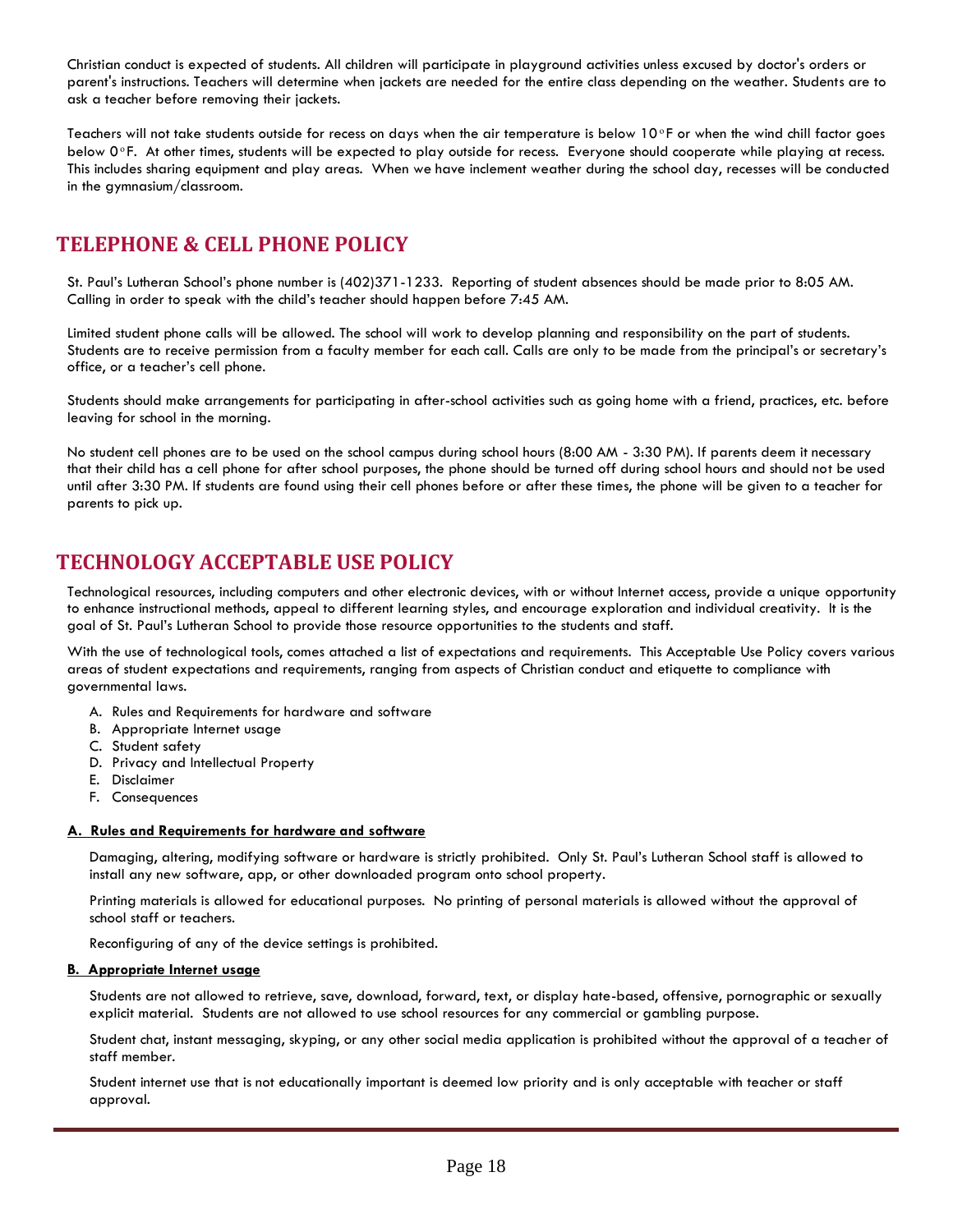Christian conduct is expected of students. All children will participate in playground activities unless excused by doctor's orders or parent's instructions. Teachers will determine when jackets are needed for the entire class depending on the weather. Students are to ask a teacher before removing their jackets.

Teachers will not take students outside for recess on days when the air temperature is below  $10^\circ$ F or when the wind chill factor goes below 0<sup>o</sup>F. At other times, students will be expected to play outside for recess. Everyone should cooperate while playing at recess. This includes sharing equipment and play areas. When we have inclement weather during the school day, recesses will be conducted in the gymnasium/classroom.

## **TELEPHONE & CELL PHONE POLICY**

St. Paul's Lutheran School's phone number is (402)371-1233. Reporting of student absences should be made prior to 8:05 AM. Calling in order to speak with the child's teacher should happen before 7:45 AM.

Limited student phone calls will be allowed. The school will work to develop planning and responsibility on the part of students. Students are to receive permission from a faculty member for each call. Calls are only to be made from the principal's or secretary's office, or a teacher's cell phone.

Students should make arrangements for participating in after-school activities such as going home with a friend, practices, etc. before leaving for school in the morning.

No student cell phones are to be used on the school campus during school hours (8:00 AM - 3:30 PM). If parents deem it necessary that their child has a cell phone for after school purposes, the phone should be turned off during school hours and should not be used until after 3:30 PM. If students are found using their cell phones before or after these times, the phone will be given to a teacher for parents to pick up.

# **TECHNOLOGY ACCEPTABLE USE POLICY**

Technological resources, including computers and other electronic devices, with or without Internet access, provide a unique opportunity to enhance instructional methods, appeal to different learning styles, and encourage exploration and individual creativity. It is the goal of St. Paul's Lutheran School to provide those resource opportunities to the students and staff.

With the use of technological tools, comes attached a list of expectations and requirements. This Acceptable Use Policy covers various areas of student expectations and requirements, ranging from aspects of Christian conduct and etiquette to compliance with governmental laws.

- A. Rules and Requirements for hardware and software
- B. Appropriate Internet usage
- C. Student safety
- D. Privacy and Intellectual Property
- E. Disclaimer
- F. Consequences

#### **A. Rules and Requirements for hardware and software**

Damaging, altering, modifying software or hardware is strictly prohibited. Only St. Paul's Lutheran School staff is allowed to install any new software, app, or other downloaded program onto school property.

Printing materials is allowed for educational purposes. No printing of personal materials is allowed without the approval of school staff or teachers.

Reconfiguring of any of the device settings is prohibited.

#### **B. Appropriate Internet usage**

Students are not allowed to retrieve, save, download, forward, text, or display hate-based, offensive, pornographic or sexually explicit material. Students are not allowed to use school resources for any commercial or gambling purpose.

Student chat, instant messaging, skyping, or any other social media application is prohibited without the approval of a teacher of staff member.

Student internet use that is not educationally important is deemed low priority and is only acceptable with teacher or staff approval.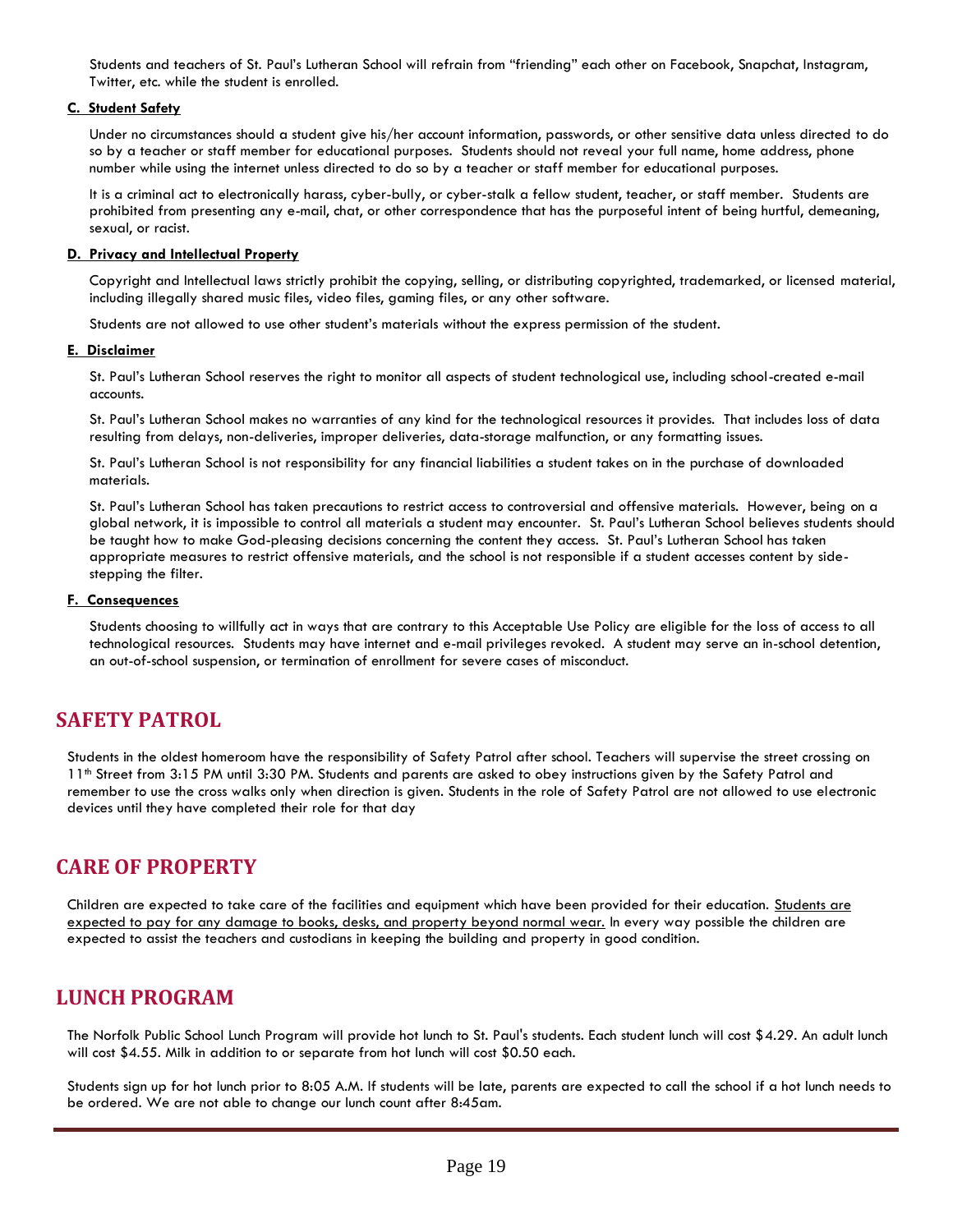Students and teachers of St. Paul's Lutheran School will refrain from "friending" each other on Facebook, Snapchat, Instagram, Twitter, etc. while the student is enrolled.

#### **C. Student Safety**

Under no circumstances should a student give his/her account information, passwords, or other sensitive data unless directed to do so by a teacher or staff member for educational purposes. Students should not reveal your full name, home address, phone number while using the internet unless directed to do so by a teacher or staff member for educational purposes.

It is a criminal act to electronically harass, cyber-bully, or cyber-stalk a fellow student, teacher, or staff member. Students are prohibited from presenting any e-mail, chat, or other correspondence that has the purposeful intent of being hurtful, demeaning, sexual, or racist.

#### **D. Privacy and Intellectual Property**

Copyright and Intellectual laws strictly prohibit the copying, selling, or distributing copyrighted, trademarked, or licensed material, including illegally shared music files, video files, gaming files, or any other software.

Students are not allowed to use other student's materials without the express permission of the student.

#### **E. Disclaimer**

St. Paul's Lutheran School reserves the right to monitor all aspects of student technological use, including school-created e-mail accounts.

St. Paul's Lutheran School makes no warranties of any kind for the technological resources it provides. That includes loss of data resulting from delays, non-deliveries, improper deliveries, data-storage malfunction, or any formatting issues.

St. Paul's Lutheran School is not responsibility for any financial liabilities a student takes on in the purchase of downloaded materials.

St. Paul's Lutheran School has taken precautions to restrict access to controversial and offensive materials. However, being on a global network, it is impossible to control all materials a student may encounter. St. Paul's Lutheran School believes students should be taught how to make God-pleasing decisions concerning the content they access. St. Paul's Lutheran School has taken appropriate measures to restrict offensive materials, and the school is not responsible if a student accesses content by sidestepping the filter.

#### **F. Consequences**

Students choosing to willfully act in ways that are contrary to this Acceptable Use Policy are eligible for the loss of access to all technological resources. Students may have internet and e-mail privileges revoked. A student may serve an in-school detention, an out-of-school suspension, or termination of enrollment for severe cases of misconduct.

#### **SAFETY PATROL**

Students in the oldest homeroom have the responsibility of Safety Patrol after school. Teachers will supervise the street crossing on 11th Street from 3:15 PM until 3:30 PM. Students and parents are asked to obey instructions given by the Safety Patrol and remember to use the cross walks only when direction is given. Students in the role of Safety Patrol are not allowed to use electronic devices until they have completed their role for that day

#### **CARE OF PROPERTY**

Children are expected to take care of the facilities and equipment which have been provided for their education. Students are expected to pay for any damage to books, desks, and property beyond normal wear. In every way possible the children are expected to assist the teachers and custodians in keeping the building and property in good condition.

#### **LUNCH PROGRAM**

The Norfolk Public School Lunch Program will provide hot lunch to St. Paul's students. Each student lunch will cost \$4.29. An adult lunch will cost \$4.55. Milk in addition to or separate from hot lunch will cost \$0.50 each.

Students sign up for hot lunch prior to 8:05 A.M. If students will be late, parents are expected to call the school if a hot lunch needs to be ordered. We are not able to change our lunch count after 8:45am.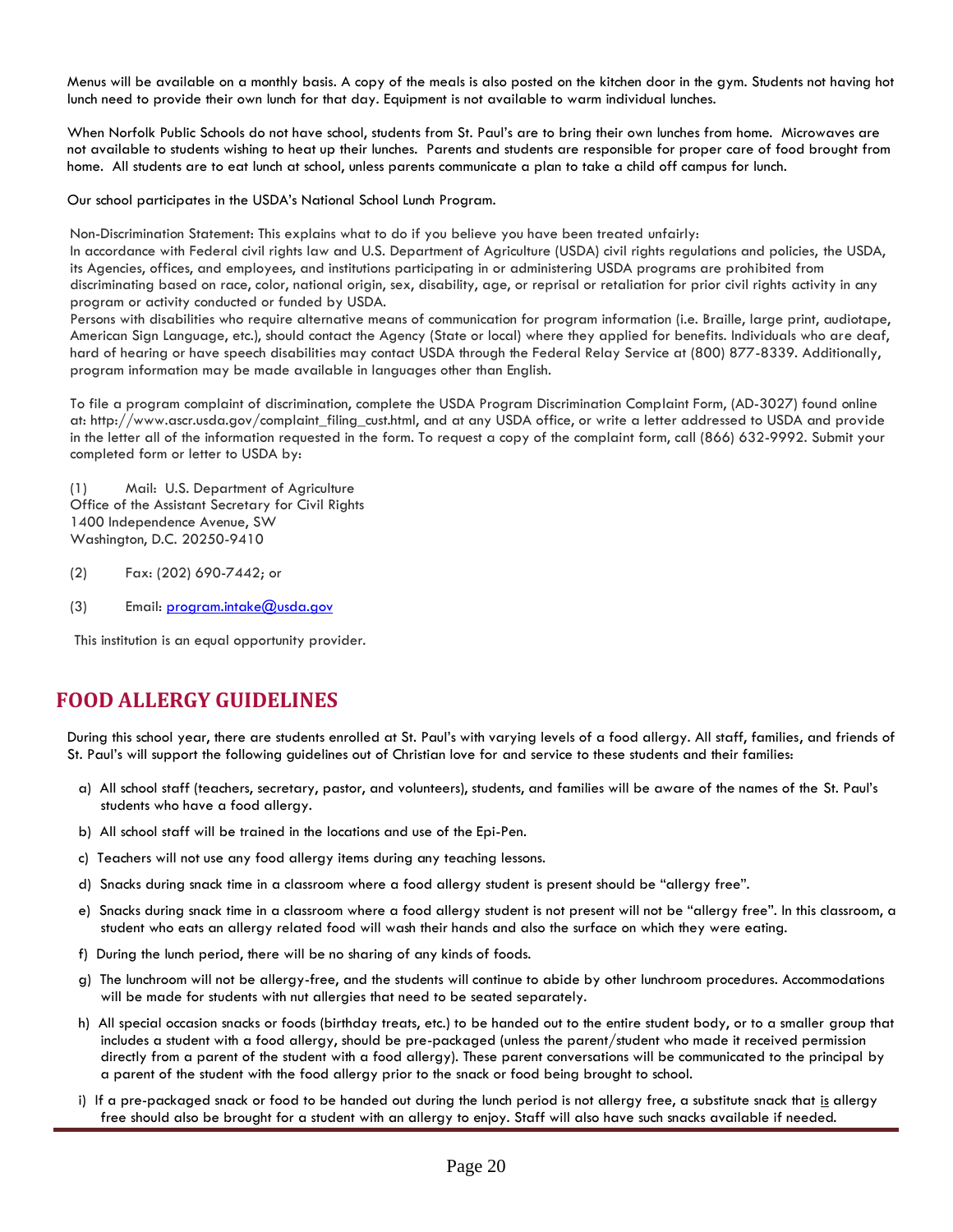Menus will be available on a monthly basis. A copy of the meals is also posted on the kitchen door in the gym. Students not having hot lunch need to provide their own lunch for that day. Equipment is not available to warm individual lunches.

When Norfolk Public Schools do not have school, students from St. Paul's are to bring their own lunches from home. Microwaves are not available to students wishing to heat up their lunches. Parents and students are responsible for proper care of food brought from home. All students are to eat lunch at school, unless parents communicate a plan to take a child off campus for lunch.

Our school participates in the USDA's National School Lunch Program.

Non-Discrimination Statement: This explains what to do if you believe you have been treated unfairly:

In accordance with Federal civil rights law and U.S. Department of Agriculture (USDA) civil rights regulations and policies, the USDA, its Agencies, offices, and employees, and institutions participating in or administering USDA programs are prohibited from discriminating based on race, color, national origin, sex, disability, age, or reprisal or retaliation for prior civil rights activity in any program or activity conducted or funded by USDA.

Persons with disabilities who require alternative means of communication for program information (i.e. Braille, large print, audiotape, American Sign Language, etc.), should contact the Agency (State or local) where they applied for benefits. Individuals who are deaf, hard of hearing or have speech disabilities may contact USDA through the Federal Relay Service at (800) 877-8339. Additionally, program information may be made available in languages other than English.

To file a program complaint of discrimination, complete the USDA Program Discrimination Complaint Form, (AD-3027) found online at: http://www.ascr.usda.gov/complaint\_filing\_cust.html, and at any USDA office, or write a letter addressed to USDA and provide in the letter all of the information requested in the form. To request a copy of the complaint form, call (866) 632-9992. Submit your completed form or letter to USDA by:

(1) Mail: U.S. Department of Agriculture Office of the Assistant Secretary for Civil Rights 1400 Independence Avenue, SW Washington, D.C. 20250-9410

- (2) Fax: (202) 690-7442; or
- (3) Email[: program.intake@usda.gov](mailto:program.intake@usda.gov)

This institution is an equal opportunity provider.

## **FOOD ALLERGY GUIDELINES**

During this school year, there are students enrolled at St. Paul's with varying levels of a food allergy. All staff, families, and friends of St. Paul's will support the following guidelines out of Christian love for and service to these students and their families:

- a) All school staff (teachers, secretary, pastor, and volunteers), students, and families will be aware of the names of the St. Paul's students who have a food allergy.
- b) All school staff will be trained in the locations and use of the Epi-Pen.
- c) Teachers will not use any food allergy items during any teaching lessons.
- d) Snacks during snack time in a classroom where a food allergy student is present should be "allergy free".
- e) Snacks during snack time in a classroom where a food allergy student is not present will not be "allergy free". In this classroom, a student who eats an allergy related food will wash their hands and also the surface on which they were eating.
- f) During the lunch period, there will be no sharing of any kinds of foods.
- g) The lunchroom will not be allergy-free, and the students will continue to abide by other lunchroom procedures. Accommodations will be made for students with nut allergies that need to be seated separately.
- h) All special occasion snacks or foods (birthday treats, etc.) to be handed out to the entire student body, or to a smaller group that includes a student with a food allergy, should be pre-packaged (unless the parent/student who made it received permission directly from a parent of the student with a food allergy). These parent conversations will be communicated to the principal by a parent of the student with the food allergy prior to the snack or food being brought to school.
- i) If a pre-packaged snack or food to be handed out during the lunch period is not allergy free, a substitute snack that is allergy free should also be brought for a student with an allergy to enjoy. Staff will also have such snacks available if needed.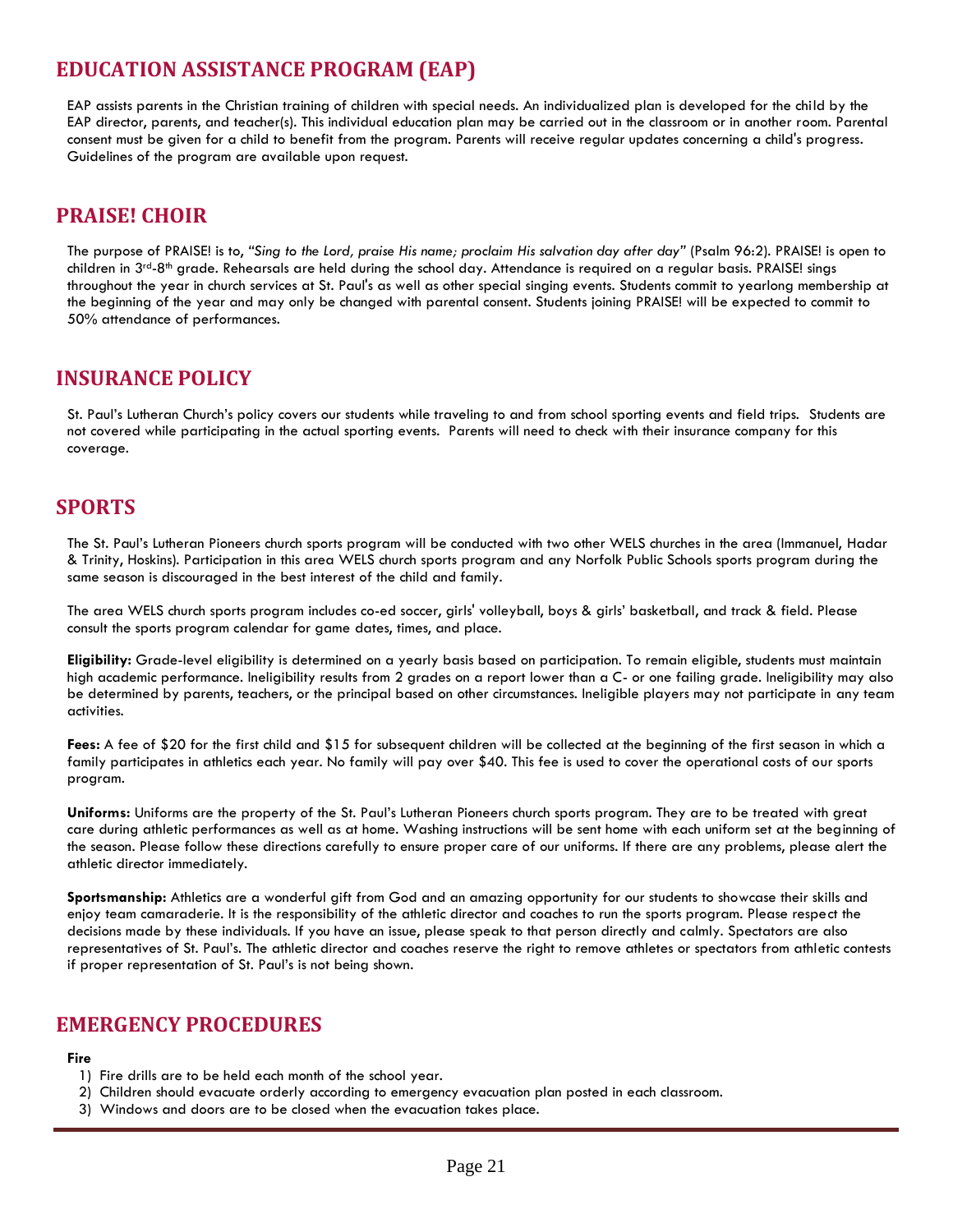# **EDUCATION ASSISTANCE PROGRAM (EAP)**

EAP assists parents in the Christian training of children with special needs. An individualized plan is developed for the child by the EAP director, parents, and teacher(s). This individual education plan may be carried out in the classroom or in another room. Parental consent must be given for a child to benefit from the program. Parents will receive regular updates concerning a child's progress. Guidelines of the program are available upon request.

## **PRAISE! CHOIR**

The purpose of PRAISE! is to, *"Sing to the Lord, praise His name; proclaim His salvation day after day"* (Psalm 96:2). PRAISE! is open to children in  $3^{rd}$ -8<sup>th</sup> grade. Rehearsals are held during the school day. Attendance is required on a regular basis. PRAISE! sings throughout the year in church services at St. Paul's as well as other special singing events. Students commit to yearlong membership at the beginning of the year and may only be changed with parental consent. Students joining PRAISE! will be expected to commit to 50% attendance of performances.

### **INSURANCE POLICY**

St. Paul's Lutheran Church's policy covers our students while traveling to and from school sporting events and field trips. Students are not covered while participating in the actual sporting events. Parents will need to check with their insurance company for this coverage.

## **SPORTS**

The St. Paul's Lutheran Pioneers church sports program will be conducted with two other WELS churches in the area (Immanuel, Hadar & Trinity, Hoskins). Participation in this area WELS church sports program and any Norfolk Public Schools sports program during the same season is discouraged in the best interest of the child and family.

The area WELS church sports program includes co-ed soccer, girls' volleyball, boys & girls' basketball, and track & field. Please consult the sports program calendar for game dates, times, and place.

**Eligibility:** Grade-level eligibility is determined on a yearly basis based on participation. To remain eligible, students must maintain high academic performance. Ineligibility results from 2 grades on a report lower than a C- or one failing grade. Ineligibility may also be determined by parents, teachers, or the principal based on other circumstances. Ineligible players may not participate in any team activities.

**Fees:** A fee of \$20 for the first child and \$15 for subsequent children will be collected at the beginning of the first season in which a family participates in athletics each year. No family will pay over \$40. This fee is used to cover the operational costs of our sports program.

**Uniforms:** Uniforms are the property of the St. Paul's Lutheran Pioneers church sports program. They are to be treated with great care during athletic performances as well as at home. Washing instructions will be sent home with each uniform set at the beginning of the season. Please follow these directions carefully to ensure proper care of our uniforms. If there are any problems, please alert the athletic director immediately.

**Sportsmanship:** Athletics are a wonderful gift from God and an amazing opportunity for our students to showcase their skills and enjoy team camaraderie. It is the responsibility of the athletic director and coaches to run the sports program. Please respect the decisions made by these individuals. If you have an issue, please speak to that person directly and calmly. Spectators are also representatives of St. Paul's. The athletic director and coaches reserve the right to remove athletes or spectators from athletic contests if proper representation of St. Paul's is not being shown.

#### **EMERGENCY PROCEDURES**

#### **Fire**

- 1) Fire drills are to be held each month of the school year.
- 2) Children should evacuate orderly according to emergency evacuation plan posted in each classroom.
- 3) Windows and doors are to be closed when the evacuation takes place.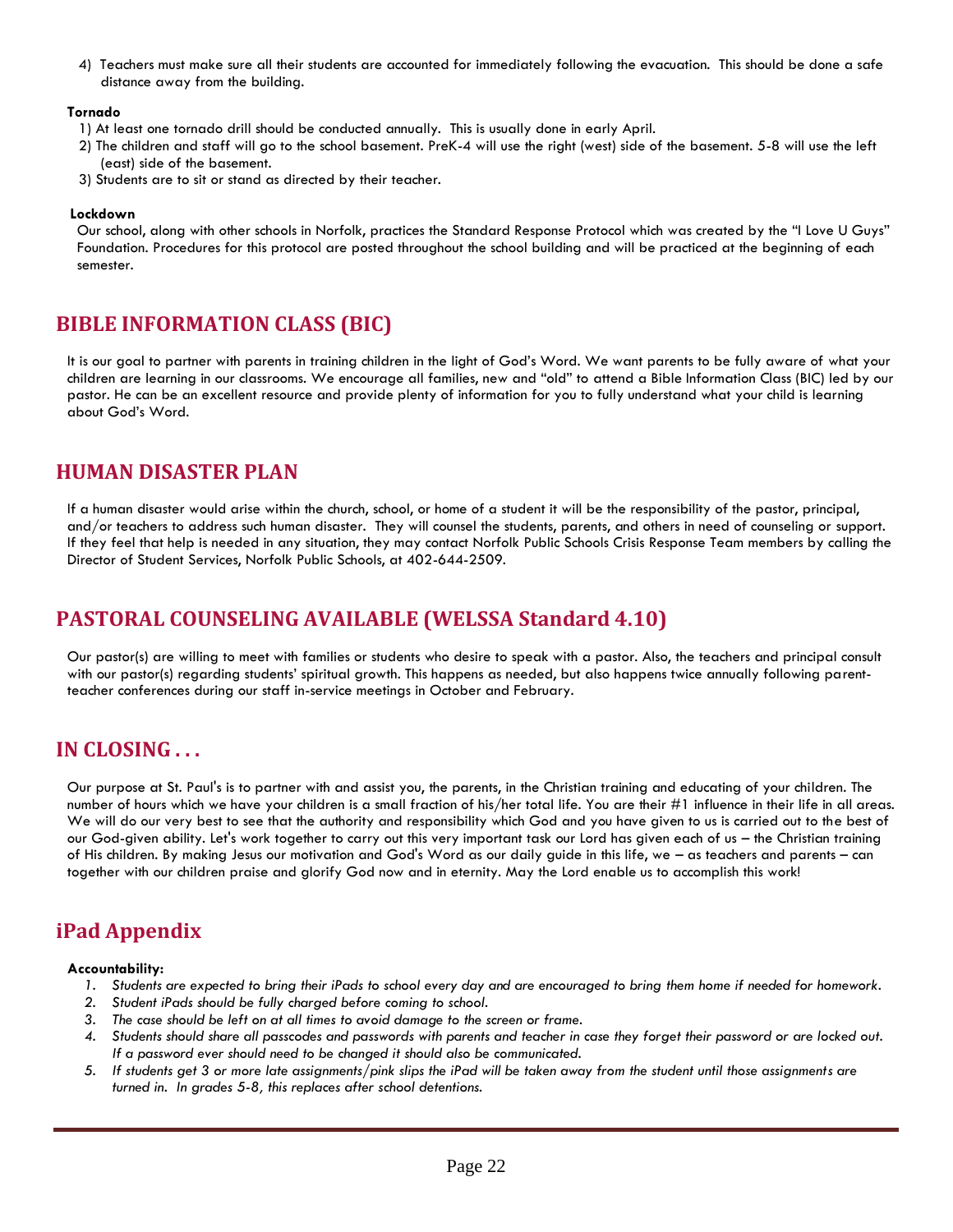4) Teachers must make sure all their students are accounted for immediately following the evacuation. This should be done a safe distance away from the building.

#### **Tornado**

- 1) At least one tornado drill should be conducted annually. This is usually done in early April.
- 2) The children and staff will go to the school basement. PreK-4 will use the right (west) side of the basement. 5-8 will use the left (east) side of the basement.
- 3) Students are to sit or stand as directed by their teacher.

#### **Lockdown**

Our school, along with other schools in Norfolk, practices the Standard Response Protocol which was created by the "I Love U Guys" Foundation. Procedures for this protocol are posted throughout the school building and will be practiced at the beginning of each semester.

## **BIBLE INFORMATION CLASS (BIC)**

It is our goal to partner with parents in training children in the light of God's Word. We want parents to be fully aware of what your children are learning in our classrooms. We encourage all families, new and "old" to attend a Bible Information Class (BIC) led by our pastor. He can be an excellent resource and provide plenty of information for you to fully understand what your child is learning about God's Word.

#### **HUMAN DISASTER PLAN**

If a human disaster would arise within the church, school, or home of a student it will be the responsibility of the pastor, principal, and/or teachers to address such human disaster. They will counsel the students, parents, and others in need of counseling or support. If they feel that help is needed in any situation, they may contact Norfolk Public Schools Crisis Response Team members by calling the Director of Student Services, Norfolk Public Schools, at 402-644-2509.

# **PASTORAL COUNSELING AVAILABLE (WELSSA Standard 4.10)**

Our pastor(s) are willing to meet with families or students who desire to speak with a pastor. Also, the teachers and principal consult with our pastor(s) regarding students' spiritual growth. This happens as needed, but also happens twice annually following parentteacher conferences during our staff in-service meetings in October and February.

## **IN CLOSING . . .**

Our purpose at St. Paul's is to partner with and assist you, the parents, in the Christian training and educating of your children. The number of hours which we have your children is a small fraction of his/her total life. You are their #1 influence in their life in all areas. We will do our very best to see that the authority and responsibility which God and you have given to us is carried out to the best of our God-given ability. Let's work together to carry out this very important task our Lord has given each of us – the Christian training of His children. By making Jesus our motivation and God's Word as our daily guide in this life, we – as teachers and parents – can together with our children praise and glorify God now and in eternity. May the Lord enable us to accomplish this work!

# **iPad Appendix**

#### **Accountability:**

- *1. Students are expected to bring their iPads to school every day and are encouraged to bring them home if needed for homework.*
- *2. Student iPads should be fully charged before coming to school.*
- *3. The case should be left on at all times to avoid damage to the screen or frame.*
- *4. Students should share all passcodes and passwords with parents and teacher in case they forget their password or are locked out. If a password ever should need to be changed it should also be communicated.*
- *5. If students get 3 or more late assignments/pink slips the iPad will be taken away from the student until those assignments are turned in. In grades 5-8, this replaces after school detentions.*